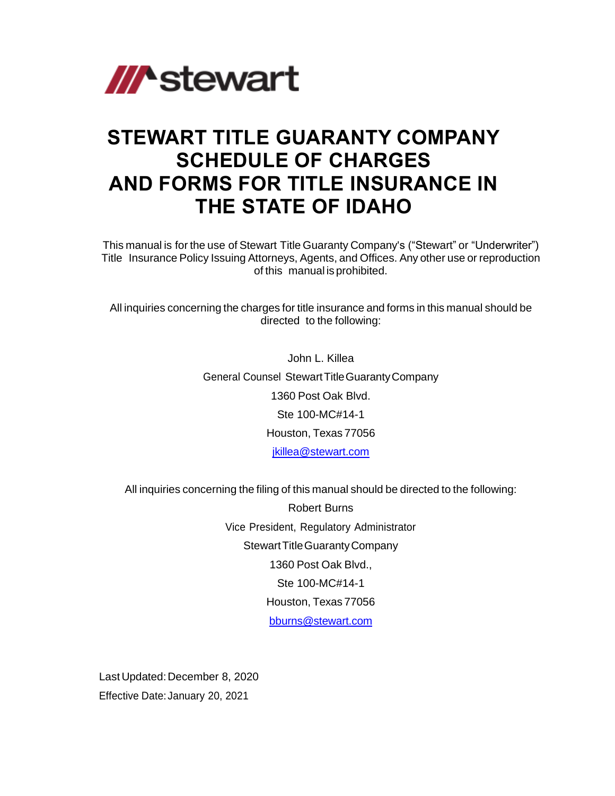

# **STEWART TITLE GUARANTY COMPANY SCHEDULE OF CHARGES AND FORMS FOR TITLE INSURANCE IN THE STATE OF IDAHO**

This manual is for the use of Stewart Title Guaranty Company's ("Stewart" or "Underwriter") Title Insurance Policy Issuing Attorneys, Agents, and Offices. Any other use or reproduction of this manual is prohibited.

All inquiries concerning the charges for title insurance and forms in this manual should be directed to the following:

> John L. Killea General Counsel StewartTitleGuarantyCompany 1360 Post Oak Blvd. Ste 100-MC#14-1 Houston, Texas 77056 [jkillea@stewart.com](mailto:jkillea@stewart.com)

All inquiries concerning the filing of this manual should be directed to the following:

Robert Burns Vice President, Regulatory Administrator Stewart Title Guaranty Company 1360 Post Oak Blvd., Ste 100-MC#14-1 Houston, Texas 77056 [bburns@stewart.com](mailto:bburns@stewart.com)

Last Updated: December 8, 2020 Effective Date: January 20, 2021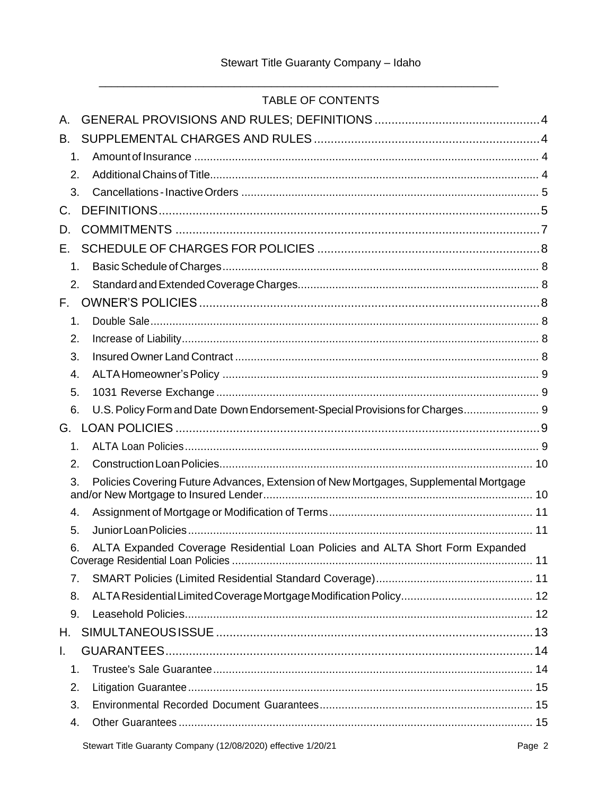# TABLE OF CONTENTS

| Α.            |                                                                                      |
|---------------|--------------------------------------------------------------------------------------|
| B.            |                                                                                      |
| 1.            |                                                                                      |
| 2.            |                                                                                      |
| 3.            |                                                                                      |
| C.            |                                                                                      |
| D.            |                                                                                      |
| E.            |                                                                                      |
| 1.            |                                                                                      |
| 2.            |                                                                                      |
| F.            |                                                                                      |
| $\mathbf 1$ . |                                                                                      |
| 2.            |                                                                                      |
| 3.            |                                                                                      |
| 4.            |                                                                                      |
| 5.            |                                                                                      |
| 6.            | U.S. Policy Form and Date Down Endorsement-Special Provisions for Charges 9          |
| G.            |                                                                                      |
| 1.            |                                                                                      |
| 2.            |                                                                                      |
| 3.            | Policies Covering Future Advances, Extension of New Mortgages, Supplemental Mortgage |
| 4.            |                                                                                      |
| 5.            |                                                                                      |
| 6.            | ALTA Expanded Coverage Residential Loan Policies and ALTA Short Form Expanded        |
| 7.            |                                                                                      |
| 8.            |                                                                                      |
| 9.            |                                                                                      |
| Н.            |                                                                                      |
| L.            |                                                                                      |
| 1.            |                                                                                      |
| 2.            |                                                                                      |
| 3.            |                                                                                      |
| 4.            |                                                                                      |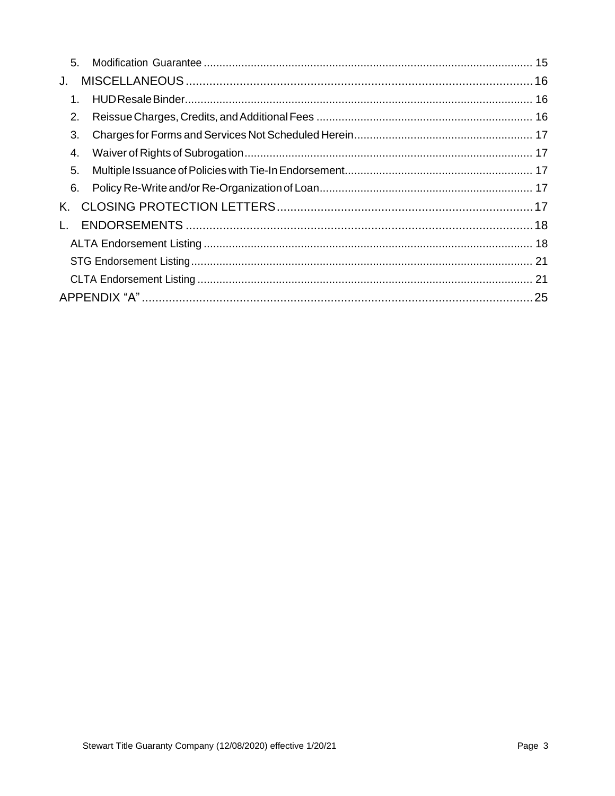| 5.           |  |  |  |
|--------------|--|--|--|
| J.           |  |  |  |
| 1.           |  |  |  |
| 2.           |  |  |  |
| 3.           |  |  |  |
| 4.           |  |  |  |
| 5.           |  |  |  |
| 6.           |  |  |  |
| K.           |  |  |  |
| $\mathbf{L}$ |  |  |  |
|              |  |  |  |
|              |  |  |  |
|              |  |  |  |
|              |  |  |  |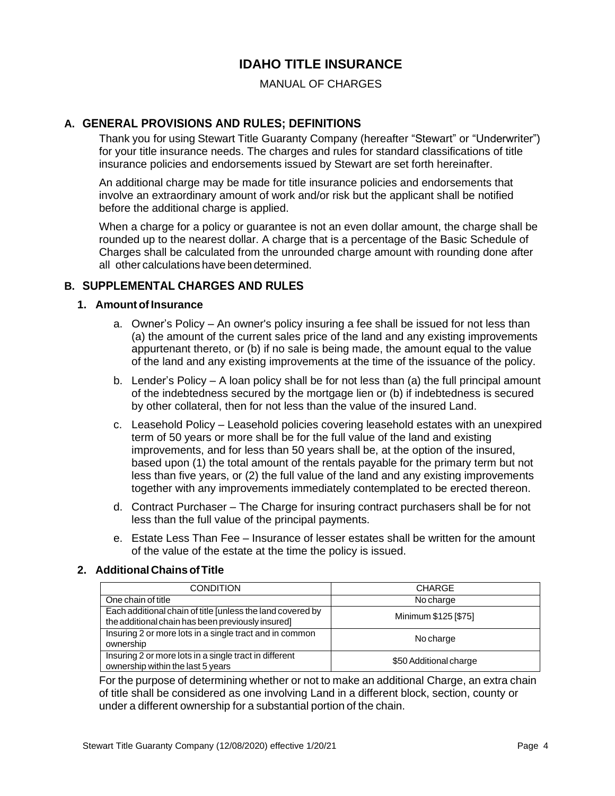# **IDAHO TITLE INSURANCE**

MANUAL OF CHARGES

# <span id="page-3-0"></span>**A. GENERAL PROVISIONS AND RULES; DEFINITIONS**

Thank you for using Stewart Title Guaranty Company (hereafter "Stewart" or "Underwriter") for your title insurance needs. The charges and rules for standard classifications of title insurance policies and endorsements issued by Stewart are set forth hereinafter.

An additional charge may be made for title insurance policies and endorsements that involve an extraordinary amount of work and/or risk but the applicant shall be notified before the additional charge is applied.

When a charge for a policy or guarantee is not an even dollar amount, the charge shall be rounded up to the nearest dollar. A charge that is a percentage of the Basic Schedule of Charges shall be calculated from the unrounded charge amount with rounding done after all other calculations have been determined.

# <span id="page-3-2"></span><span id="page-3-1"></span>**B. SUPPLEMENTAL CHARGES AND RULES**

#### **1. Amount of Insurance**

- a. Owner's Policy An owner's policy insuring a fee shall be issued for not less than (a) the amount of the current sales price of the land and any existing improvements appurtenant thereto, or (b) if no sale is being made, the amount equal to the value of the land and any existing improvements at the time of the issuance of the policy.
- b. Lender's Policy A loan policy shall be for not less than (a) the full principal amount of the indebtedness secured by the mortgage lien or (b) if indebtedness is secured by other collateral, then for not less than the value of the insured Land.
- c. Leasehold Policy Leasehold policies covering leasehold estates with an unexpired term of 50 years or more shall be for the full value of the land and existing improvements, and for less than 50 years shall be, at the option of the insured, based upon (1) the total amount of the rentals payable for the primary term but not less than five years, or (2) the full value of the land and any existing improvements together with any improvements immediately contemplated to be erected thereon.
- d. Contract Purchaser The Charge for insuring contract purchasers shall be for not less than the full value of the principal payments.
- e. Estate Less Than Fee Insurance of lesser estates shall be written for the amount of the value of the estate at the time the policy is issued.

#### <span id="page-3-3"></span>**2. Additional ChainsofTitle**

| <b>CONDITION</b>                                                                                                | <b>CHARGE</b>          |
|-----------------------------------------------------------------------------------------------------------------|------------------------|
| One chain of title                                                                                              | No charge              |
| Each additional chain of title [unless the land covered by<br>the additional chain has been previously insured] | Minimum \$125 [\$75]   |
| Insuring 2 or more lots in a single tract and in common<br>ownership                                            | No charge              |
| Insuring 2 or more lots in a single tract in different<br>ownership within the last 5 years                     | \$50 Additional charge |

For the purpose of determining whether or not to make an additional Charge, an extra chain of title shall be considered as one involving Land in a different block, section, county or under a different ownership for a substantial portion of the chain.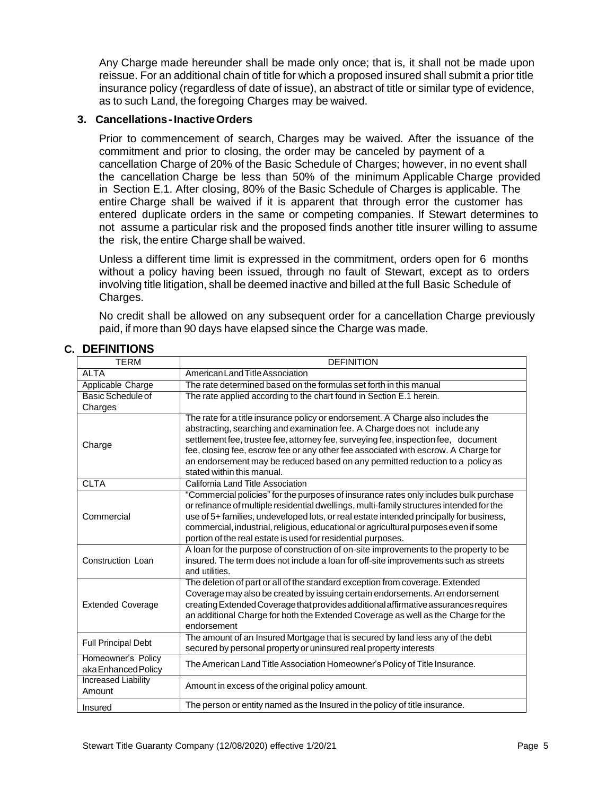Any Charge made hereunder shall be made only once; that is, it shall not be made upon reissue. For an additional chain of title for which a proposed insured shall submit a prior title insurance policy (regardless of date of issue), an abstract of title or similar type of evidence, as to such Land, the foregoing Charges may be waived.

#### <span id="page-4-0"></span>**3. Cancellations-InactiveOrders**

Prior to commencement of search, Charges may be waived. After the issuance of the commitment and prior to closing, the order may be canceled by payment of a cancellation Charge of 20% of the Basic Schedule of Charges; however, in no event shall the cancellation Charge be less than 50% of the minimum Applicable Charge provided in Section E.1. After closing, 80% of the Basic Schedule of Charges is applicable. The entire Charge shall be waived if it is apparent that through error the customer has entered duplicate orders in the same or competing companies. If Stewart determines to not assume a particular risk and the proposed finds another title insurer willing to assume the risk, the entire Charge shall be waived.

Unless a different time limit is expressed in the commitment, orders open for 6 months without a policy having been issued, through no fault of Stewart, except as to orders involving title litigation, shall be deemed inactive and billed at the full Basic Schedule of Charges.

No credit shall be allowed on any subsequent order for a cancellation Charge previously paid, if more than 90 days have elapsed since the Charge was made.

| <b>TERM</b>                | <b>DEFINITION</b>                                                                                                                                                        |  |
|----------------------------|--------------------------------------------------------------------------------------------------------------------------------------------------------------------------|--|
| <b>ALTA</b>                | American Land Title Association                                                                                                                                          |  |
| Applicable Charge          | The rate determined based on the formulas set forth in this manual                                                                                                       |  |
| Basic Schedule of          | The rate applied according to the chart found in Section E.1 herein.                                                                                                     |  |
| Charges                    |                                                                                                                                                                          |  |
|                            | The rate for a title insurance policy or endorsement. A Charge also includes the<br>abstracting, searching and examination fee. A Charge does not include any            |  |
| Charge                     | settlement fee, trustee fee, attorney fee, surveying fee, inspection fee, document<br>fee, closing fee, escrow fee or any other fee associated with escrow. A Charge for |  |
|                            | an endorsement may be reduced based on any permitted reduction to a policy as                                                                                            |  |
|                            | stated within this manual.                                                                                                                                               |  |
| <b>CLTA</b>                | California Land Title Association                                                                                                                                        |  |
|                            | "Commercial policies" for the purposes of insurance rates only includes bulk purchase                                                                                    |  |
|                            | or refinance of multiple residential dwellings, multi-family structures intended for the                                                                                 |  |
| Commercial                 | use of 5+ families, undeveloped lots, or real estate intended principally for business,                                                                                  |  |
|                            | commercial, industrial, religious, educational or agricultural purposes even if some                                                                                     |  |
|                            | portion of the real estate is used for residential purposes.                                                                                                             |  |
|                            | A loan for the purpose of construction of on-site improvements to the property to be                                                                                     |  |
| Construction Loan          | insured. The term does not include a loan for off-site improvements such as streets<br>and utilities.                                                                    |  |
|                            | The deletion of part or all of the standard exception from coverage. Extended                                                                                            |  |
|                            | Coverage may also be created by issuing certain endorsements. An endorsement                                                                                             |  |
| <b>Extended Coverage</b>   | creating Extended Coverage that provides additional affirmative assurances requires                                                                                      |  |
|                            | an additional Charge for both the Extended Coverage as well as the Charge for the                                                                                        |  |
|                            | endorsement                                                                                                                                                              |  |
|                            | The amount of an Insured Mortgage that is secured by land less any of the debt                                                                                           |  |
| <b>Full Principal Debt</b> | secured by personal property or uninsured real property interests                                                                                                        |  |
| Homeowner's Policy         | The American Land Title Association Homeowner's Policy of Title Insurance.                                                                                               |  |
| aka Enhanced Policy        |                                                                                                                                                                          |  |
| <b>Increased Liability</b> | Amount in excess of the original policy amount.                                                                                                                          |  |
| Amount                     |                                                                                                                                                                          |  |
| Insured                    | The person or entity named as the Insured in the policy of title insurance.                                                                                              |  |

# <span id="page-4-1"></span>**C. DEFINITIONS**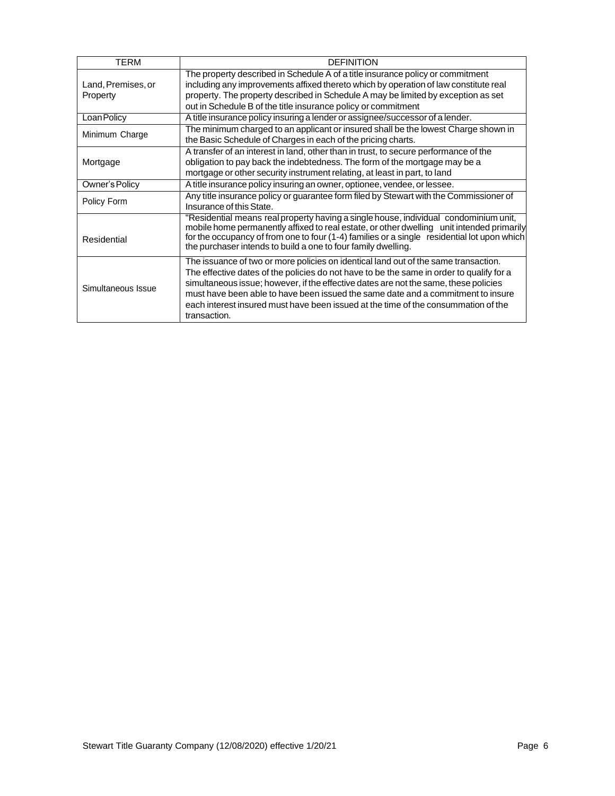| TERM               | <b>DEFINITION</b>                                                                                                                                                                                                                                                                                                                                                                                                                                                 |  |  |
|--------------------|-------------------------------------------------------------------------------------------------------------------------------------------------------------------------------------------------------------------------------------------------------------------------------------------------------------------------------------------------------------------------------------------------------------------------------------------------------------------|--|--|
|                    | The property described in Schedule A of a title insurance policy or commitment                                                                                                                                                                                                                                                                                                                                                                                    |  |  |
| Land, Premises, or | including any improvements affixed thereto which by operation of law constitute real                                                                                                                                                                                                                                                                                                                                                                              |  |  |
| Property           | property. The property described in Schedule A may be limited by exception as set                                                                                                                                                                                                                                                                                                                                                                                 |  |  |
|                    | out in Schedule B of the title insurance policy or commitment                                                                                                                                                                                                                                                                                                                                                                                                     |  |  |
| Loan Policy        | A title insurance policy insuring a lender or assignee/successor of a lender.                                                                                                                                                                                                                                                                                                                                                                                     |  |  |
| Minimum Charge     | The minimum charged to an applicant or insured shall be the lowest Charge shown in                                                                                                                                                                                                                                                                                                                                                                                |  |  |
|                    | the Basic Schedule of Charges in each of the pricing charts.                                                                                                                                                                                                                                                                                                                                                                                                      |  |  |
|                    | A transfer of an interest in land, other than in trust, to secure performance of the                                                                                                                                                                                                                                                                                                                                                                              |  |  |
| Mortgage           | obligation to pay back the indebtedness. The form of the mortgage may be a                                                                                                                                                                                                                                                                                                                                                                                        |  |  |
|                    | mortgage or other security instrument relating, at least in part, to land                                                                                                                                                                                                                                                                                                                                                                                         |  |  |
| Owner's Policy     | A title insurance policy insuring an owner, optionee, vendee, or lessee.                                                                                                                                                                                                                                                                                                                                                                                          |  |  |
| Policy Form        | Any title insurance policy or guarantee form filed by Stewart with the Commissioner of                                                                                                                                                                                                                                                                                                                                                                            |  |  |
|                    | Insurance of this State.                                                                                                                                                                                                                                                                                                                                                                                                                                          |  |  |
| Residential        | "Residential means real property having a single house, individual condominium unit,<br>mobile home permanently affixed to real estate, or other dwelling unit intended primarily<br>for the occupancy of from one to four (1-4) families or a single residential lot upon which<br>the purchaser intends to build a one to four family dwelling.                                                                                                                 |  |  |
| Simultaneous Issue | The issuance of two or more policies on identical land out of the same transaction.<br>The effective dates of the policies do not have to be the same in order to qualify for a<br>simultaneous issue; however, if the effective dates are not the same, these policies<br>must have been able to have been issued the same date and a commitment to insure<br>each interest insured must have been issued at the time of the consummation of the<br>transaction. |  |  |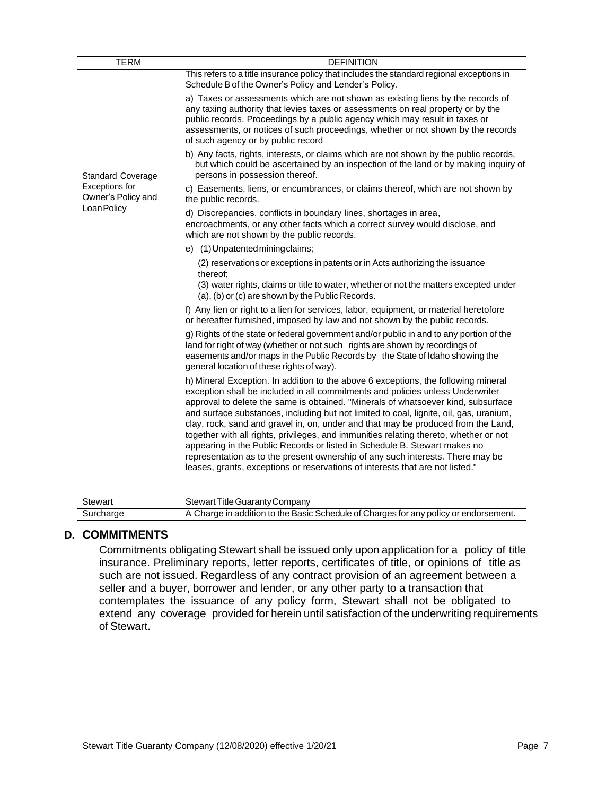| <b>TERM</b>                          | <b>DEFINITION</b>                                                                                                                                                                                                                                                                                                                                                                                                                                                                                                                                                                                                                                                                                                                                                                 |
|--------------------------------------|-----------------------------------------------------------------------------------------------------------------------------------------------------------------------------------------------------------------------------------------------------------------------------------------------------------------------------------------------------------------------------------------------------------------------------------------------------------------------------------------------------------------------------------------------------------------------------------------------------------------------------------------------------------------------------------------------------------------------------------------------------------------------------------|
|                                      | This refers to a title insurance policy that includes the standard regional exceptions in<br>Schedule B of the Owner's Policy and Lender's Policy.                                                                                                                                                                                                                                                                                                                                                                                                                                                                                                                                                                                                                                |
|                                      | a) Taxes or assessments which are not shown as existing liens by the records of<br>any taxing authority that levies taxes or assessments on real property or by the<br>public records. Proceedings by a public agency which may result in taxes or<br>assessments, or notices of such proceedings, whether or not shown by the records<br>of such agency or by public record                                                                                                                                                                                                                                                                                                                                                                                                      |
| <b>Standard Coverage</b>             | b) Any facts, rights, interests, or claims which are not shown by the public records,<br>but which could be ascertained by an inspection of the land or by making inquiry of<br>persons in possession thereof.                                                                                                                                                                                                                                                                                                                                                                                                                                                                                                                                                                    |
| Exceptions for<br>Owner's Policy and | c) Easements, liens, or encumbrances, or claims thereof, which are not shown by<br>the public records.                                                                                                                                                                                                                                                                                                                                                                                                                                                                                                                                                                                                                                                                            |
| Loan Policy                          | d) Discrepancies, conflicts in boundary lines, shortages in area,<br>encroachments, or any other facts which a correct survey would disclose, and<br>which are not shown by the public records.                                                                                                                                                                                                                                                                                                                                                                                                                                                                                                                                                                                   |
|                                      | e) (1) Unpatented mining claims;                                                                                                                                                                                                                                                                                                                                                                                                                                                                                                                                                                                                                                                                                                                                                  |
|                                      | (2) reservations or exceptions in patents or in Acts authorizing the issuance<br>thereof:<br>(3) water rights, claims or title to water, whether or not the matters excepted under<br>(a), (b) or (c) are shown by the Public Records.                                                                                                                                                                                                                                                                                                                                                                                                                                                                                                                                            |
|                                      | f) Any lien or right to a lien for services, labor, equipment, or material heretofore<br>or hereafter furnished, imposed by law and not shown by the public records.                                                                                                                                                                                                                                                                                                                                                                                                                                                                                                                                                                                                              |
|                                      | g) Rights of the state or federal government and/or public in and to any portion of the<br>land for right of way (whether or not such rights are shown by recordings of<br>easements and/or maps in the Public Records by the State of Idaho showing the<br>general location of these rights of way).                                                                                                                                                                                                                                                                                                                                                                                                                                                                             |
|                                      | h) Mineral Exception. In addition to the above 6 exceptions, the following mineral<br>exception shall be included in all commitments and policies unless Underwriter<br>approval to delete the same is obtained. "Minerals of whatsoever kind, subsurface<br>and surface substances, including but not limited to coal, lignite, oil, gas, uranium,<br>clay, rock, sand and gravel in, on, under and that may be produced from the Land,<br>together with all rights, privileges, and immunities relating thereto, whether or not<br>appearing in the Public Records or listed in Schedule B. Stewart makes no<br>representation as to the present ownership of any such interests. There may be<br>leases, grants, exceptions or reservations of interests that are not listed." |
| <b>Stewart</b>                       | Stewart Title Guaranty Company                                                                                                                                                                                                                                                                                                                                                                                                                                                                                                                                                                                                                                                                                                                                                    |
| Surcharge                            | A Charge in addition to the Basic Schedule of Charges for any policy or endorsement.                                                                                                                                                                                                                                                                                                                                                                                                                                                                                                                                                                                                                                                                                              |

# <span id="page-6-0"></span>**D. COMMITMENTS**

Commitments obligating Stewart shall be issued only upon application for a policy of title insurance. Preliminary reports, letter reports, certificates of title, or opinions of title as such are not issued. Regardless of any contract provision of an agreement between a seller and a buyer, borrower and lender, or any other party to a transaction that contemplates the issuance of any policy form, Stewart shall not be obligated to extend any coverage provided for herein until satisfaction of the underwriting requirements of Stewart.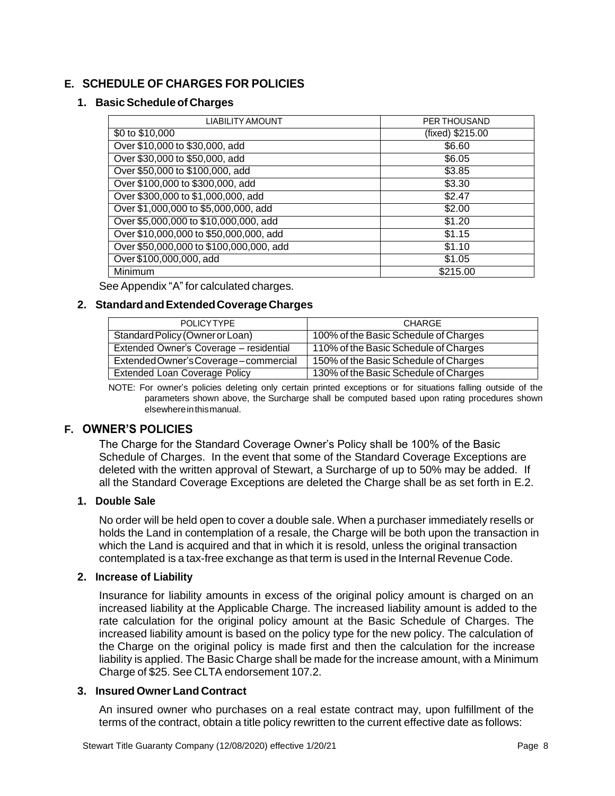# <span id="page-7-1"></span><span id="page-7-0"></span>**E. SCHEDULE OF CHARGES FOR POLICIES**

#### **1. BasicSchedule of Charges**

| <b>LIABILITY AMOUNT</b>                 | <b>PER THOUSAND</b> |
|-----------------------------------------|---------------------|
| $\frac{1}{100}$ to \$10,000             | (fixed) \$215.00    |
| Over \$10,000 to \$30,000, add          | \$6.60              |
| Over \$30,000 to \$50,000, add          | \$6.05              |
| Over \$50,000 to \$100,000, add         | \$3.85              |
| Over \$100,000 to \$300,000, add        | \$3.30              |
| Over \$300,000 to \$1,000,000, add      | \$2.47              |
| Over \$1,000,000 to \$5,000,000, add    | \$2.00              |
| Over \$5,000,000 to \$10,000,000, add   | \$1.20              |
| Over \$10,000,000 to \$50,000,000, add  | \$1.15              |
| Over \$50,000,000 to \$100,000,000, add | \$1.10              |
| Over \$100,000,000, add                 | \$1.05              |
| Minimum                                 | \$215.00            |

See Appendix "A" for calculated charges.

#### <span id="page-7-2"></span>**2. StandardandExtendedCoverageCharges**

| <b>POLICYTYPE</b>                       | CHARGE                                |
|-----------------------------------------|---------------------------------------|
| Standard Policy (Owner or Loan)         | 100% of the Basic Schedule of Charges |
| Extended Owner's Coverage - residential | 110% of the Basic Schedule of Charges |
| Extended Owner's Coverage-commercial    | 150% of the Basic Schedule of Charges |
| <b>Extended Loan Coverage Policy</b>    | 130% of the Basic Schedule of Charges |

NOTE: For owner's policies deleting only certain printed exceptions or for situations falling outside of the parameters shown above, the Surcharge shall be computed based upon rating procedures shown elsewhereinthismanual.

#### <span id="page-7-3"></span>**F. OWNER'S POLICIES**

The Charge for the Standard Coverage Owner's Policy shall be 100% of the Basic Schedule of Charges. In the event that some of the Standard Coverage Exceptions are deleted with the written approval of Stewart, a Surcharge of up to 50% may be added. If all the Standard Coverage Exceptions are deleted the Charge shall be as set forth in E.2.

#### <span id="page-7-4"></span>**1. Double Sale**

No order will be held open to cover a double sale. When a purchaser immediately resells or holds the Land in contemplation of a resale, the Charge will be both upon the transaction in which the Land is acquired and that in which it is resold, unless the original transaction contemplated is a tax-free exchange as that term is used in the Internal Revenue Code.

#### <span id="page-7-5"></span>**2. Increase of Liability**

Insurance for liability amounts in excess of the original policy amount is charged on an increased liability at the Applicable Charge. The increased liability amount is added to the rate calculation for the original policy amount at the Basic Schedule of Charges. The increased liability amount is based on the policy type for the new policy. The calculation of the Charge on the original policy is made first and then the calculation for the increase liability is applied. The Basic Charge shall be made for the increase amount, with a Minimum Charge of \$25. See CLTA endorsement 107.2.

#### <span id="page-7-6"></span>**3. Insured Owner Land Contract**

An insured owner who purchases on a real estate contract may, upon fulfillment of the terms of the contract, obtain a title policy rewritten to the current effective date as follows: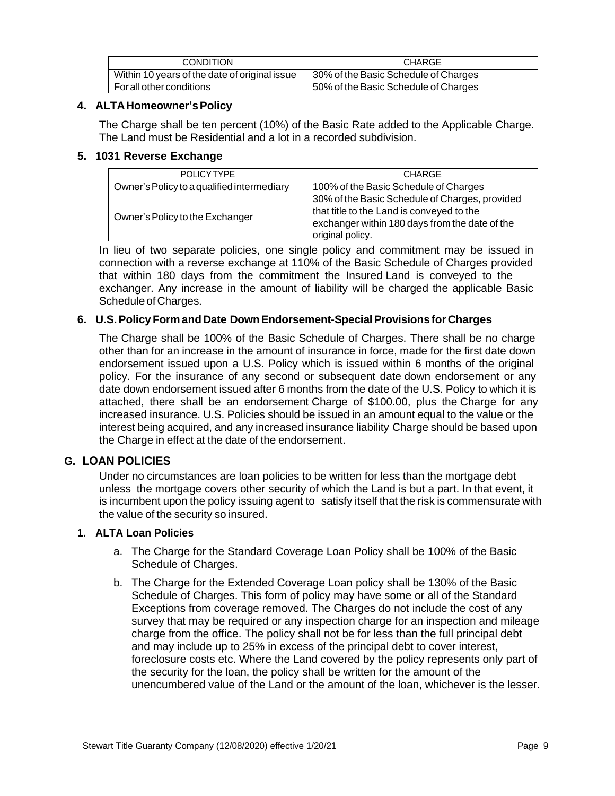| CONDITION                                     | <b>CHARGE</b>                        |
|-----------------------------------------------|--------------------------------------|
| Within 10 years of the date of original issue | 30% of the Basic Schedule of Charges |
| For all other conditions                      | 50% of the Basic Schedule of Charges |

#### <span id="page-8-0"></span>**4. ALTAHomeowner'sPolicy**

The Charge shall be ten percent (10%) of the Basic Rate added to the Applicable Charge. The Land must be Residential and a lot in a recorded subdivision.

#### <span id="page-8-1"></span>**5. 1031 Reverse Exchange**

| POLICYTYPE                                 | <b>CHARGE</b>                                                                                                                                                     |
|--------------------------------------------|-------------------------------------------------------------------------------------------------------------------------------------------------------------------|
| Owner's Policy to a qualified intermediary | 100% of the Basic Schedule of Charges                                                                                                                             |
| Owner's Policy to the Exchanger            | 30% of the Basic Schedule of Charges, provided<br>that title to the Land is conveyed to the<br>exchanger within 180 days from the date of the<br>original policy. |

In lieu of two separate policies, one single policy and commitment may be issued in connection with a reverse exchange at 110% of the Basic Schedule of Charges provided that within 180 days from the commitment the Insured Land is conveyed to the exchanger. Any increase in the amount of liability will be charged the applicable Basic Schedule of Charges.

#### <span id="page-8-2"></span>**6. U.S.PolicyForm andDate DownEndorsement-SpecialProvisionsfor Charges**

The Charge shall be 100% of the Basic Schedule of Charges. There shall be no charge other than for an increase in the amount of insurance in force, made for the first date down endorsement issued upon a U.S. Policy which is issued within 6 months of the original policy. For the insurance of any second or subsequent date down endorsement or any date down endorsement issued after 6 months from the date of the U.S. Policy to which it is attached, there shall be an endorsement Charge of \$100.00, plus the Charge for any increased insurance. U.S. Policies should be issued in an amount equal to the value or the interest being acquired, and any increased insurance liability Charge should be based upon the Charge in effect at the date of the endorsement.

#### <span id="page-8-3"></span>**G. LOAN POLICIES**

Under no circumstances are loan policies to be written for less than the mortgage debt unless the mortgage covers other security of which the Land is but a part. In that event, it is incumbent upon the policy issuing agent to satisfy itself that the risk is commensurate with the value of the security so insured.

#### <span id="page-8-4"></span>**1. ALTA Loan Policies**

- a. The Charge for the Standard Coverage Loan Policy shall be 100% of the Basic Schedule of Charges.
- b. The Charge for the Extended Coverage Loan policy shall be 130% of the Basic Schedule of Charges. This form of policy may have some or all of the Standard Exceptions from coverage removed. The Charges do not include the cost of any survey that may be required or any inspection charge for an inspection and mileage charge from the office. The policy shall not be for less than the full principal debt and may include up to 25% in excess of the principal debt to cover interest, foreclosure costs etc. Where the Land covered by the policy represents only part of the security for the loan, the policy shall be written for the amount of the unencumbered value of the Land or the amount of the loan, whichever is the lesser.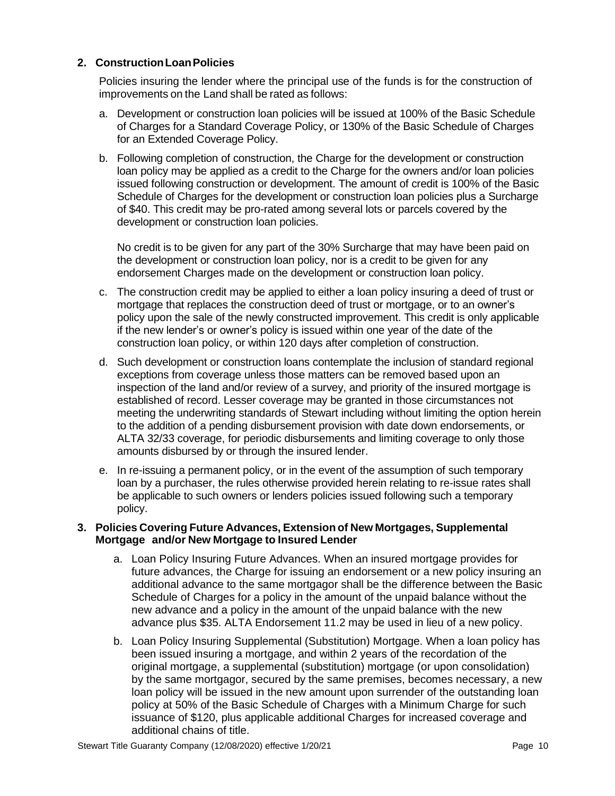#### <span id="page-9-0"></span>**2. ConstructionLoanPolicies**

Policies insuring the lender where the principal use of the funds is for the construction of improvements on the Land shall be rated as follows:

- a. Development or construction loan policies will be issued at 100% of the Basic Schedule of Charges for a Standard Coverage Policy, or 130% of the Basic Schedule of Charges for an Extended Coverage Policy.
- b. Following completion of construction, the Charge for the development or construction loan policy may be applied as a credit to the Charge for the owners and/or loan policies issued following construction or development. The amount of credit is 100% of the Basic Schedule of Charges for the development or construction loan policies plus a Surcharge of \$40. This credit may be pro-rated among several lots or parcels covered by the development or construction loan policies.

No credit is to be given for any part of the 30% Surcharge that may have been paid on the development or construction loan policy, nor is a credit to be given for any endorsement Charges made on the development or construction loan policy.

- c. The construction credit may be applied to either a loan policy insuring a deed of trust or mortgage that replaces the construction deed of trust or mortgage, or to an owner's policy upon the sale of the newly constructed improvement. This credit is only applicable if the new lender's or owner's policy is issued within one year of the date of the construction loan policy, or within 120 days after completion of construction.
- d. Such development or construction loans contemplate the inclusion of standard regional exceptions from coverage unless those matters can be removed based upon an inspection of the land and/or review of a survey, and priority of the insured mortgage is established of record. Lesser coverage may be granted in those circumstances not meeting the underwriting standards of Stewart including without limiting the option herein to the addition of a pending disbursement provision with date down endorsements, or ALTA 32/33 coverage, for periodic disbursements and limiting coverage to only those amounts disbursed by or through the insured lender.
- e. In re-issuing a permanent policy, or in the event of the assumption of such temporary loan by a purchaser, the rules otherwise provided herein relating to re-issue rates shall be applicable to such owners or lenders policies issued following such a temporary policy.

#### <span id="page-9-1"></span>**3. Policies Covering Future Advances, Extension of New Mortgages, Supplemental Mortgage and/or New Mortgage to Insured Lender**

- a. Loan Policy Insuring Future Advances. When an insured mortgage provides for future advances, the Charge for issuing an endorsement or a new policy insuring an additional advance to the same mortgagor shall be the difference between the Basic Schedule of Charges for a policy in the amount of the unpaid balance without the new advance and a policy in the amount of the unpaid balance with the new advance plus \$35. ALTA Endorsement 11.2 may be used in lieu of a new policy.
- b. Loan Policy Insuring Supplemental (Substitution) Mortgage. When a loan policy has been issued insuring a mortgage, and within 2 years of the recordation of the original mortgage, a supplemental (substitution) mortgage (or upon consolidation) by the same mortgagor, secured by the same premises, becomes necessary, a new loan policy will be issued in the new amount upon surrender of the outstanding loan policy at 50% of the Basic Schedule of Charges with a Minimum Charge for such issuance of \$120, plus applicable additional Charges for increased coverage and additional chains of title.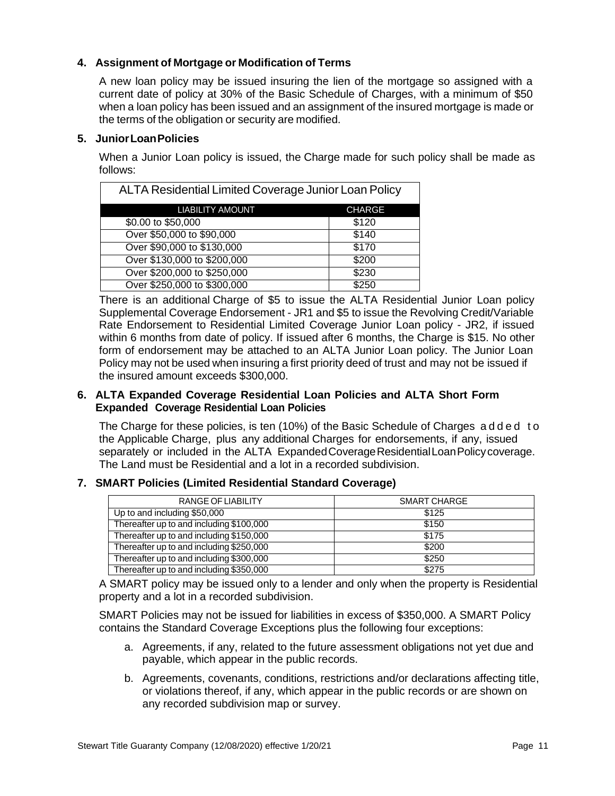# <span id="page-10-0"></span>**4. Assignment of Mortgage or Modification of Terms**

A new loan policy may be issued insuring the lien of the mortgage so assigned with a current date of policy at 30% of the Basic Schedule of Charges, with a minimum of \$50 when a loan policy has been issued and an assignment of the insured mortgage is made or the terms of the obligation or security are modified.

#### <span id="page-10-1"></span>**5. JuniorLoanPolicies**

When a Junior Loan policy is issued, the Charge made for such policy shall be made as follows:

| ALTA Residential Limited Coverage Junior Loan Policy |               |  |
|------------------------------------------------------|---------------|--|
| <b>LIABILITY AMOUNT</b>                              | <b>CHARGE</b> |  |
| \$0.00 to \$50,000                                   | \$120         |  |
| Over \$50,000 to \$90,000                            | \$140         |  |
| Over \$90,000 to \$130,000                           | \$170         |  |
| Over \$130,000 to \$200,000                          | \$200         |  |
| Over \$200,000 to \$250,000                          | \$230         |  |
| Over \$250,000 to \$300,000                          | \$250         |  |

There is an additional Charge of \$5 to issue the ALTA Residential Junior Loan policy Supplemental Coverage Endorsement - JR1 and \$5 to issue the Revolving Credit/Variable Rate Endorsement to Residential Limited Coverage Junior Loan policy - JR2, if issued within 6 months from date of policy. If issued after 6 months, the Charge is \$15. No other form of endorsement may be attached to an ALTA Junior Loan policy. The Junior Loan Policy may not be used when insuring a first priority deed of trust and may not be issued if the insured amount exceeds \$300,000.

#### <span id="page-10-2"></span>**6. ALTA Expanded Coverage Residential Loan Policies and ALTA Short Form Expanded Coverage Residential Loan Policies**

The Charge for these policies, is ten (10%) of the Basic Schedule of Charges a d d e d t o the Applicable Charge, plus any additional Charges for endorsements, if any, issued separately or included in the ALTA Expanded Coverage Residential Loan Policy coverage. The Land must be Residential and a lot in a recorded subdivision.

#### <span id="page-10-3"></span>**7. SMART Policies (Limited Residential Standard Coverage)**

| RANGE OF LIABILITY                       | SMART CHARGE |
|------------------------------------------|--------------|
| Up to and including \$50,000             | \$125        |
| Thereafter up to and including \$100,000 | \$150        |
| Thereafter up to and including \$150,000 | \$175        |
| Thereafter up to and including \$250,000 | \$200        |
| Thereafter up to and including \$300,000 | \$250        |
| Thereafter up to and including \$350,000 | \$275        |

A SMART policy may be issued only to a lender and only when the property is Residential property and a lot in a recorded subdivision.

SMART Policies may not be issued for liabilities in excess of \$350,000. A SMART Policy contains the Standard Coverage Exceptions plus the following four exceptions:

- a. Agreements, if any, related to the future assessment obligations not yet due and payable, which appear in the public records.
- b. Agreements, covenants, conditions, restrictions and/or declarations affecting title, or violations thereof, if any, which appear in the public records or are shown on any recorded subdivision map or survey.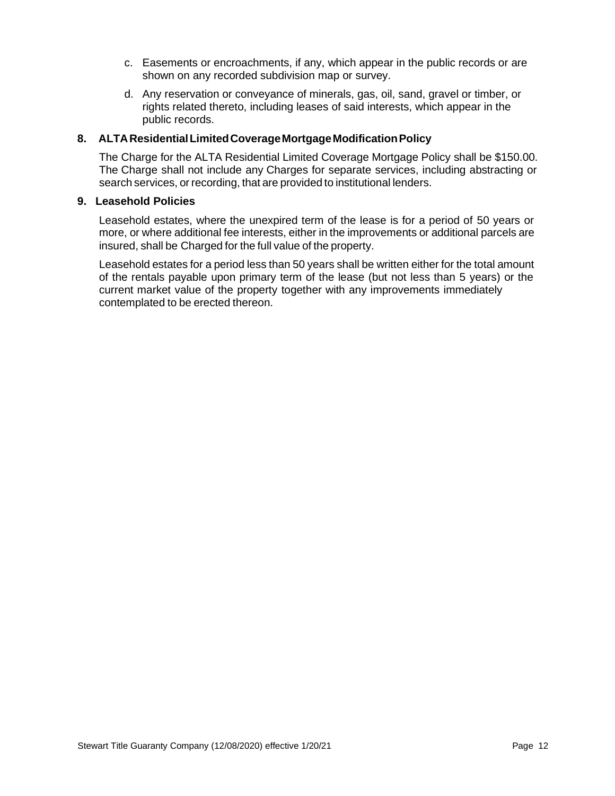- c. Easements or encroachments, if any, which appear in the public records or are shown on any recorded subdivision map or survey.
- d. Any reservation or conveyance of minerals, gas, oil, sand, gravel or timber, or rights related thereto, including leases of said interests, which appear in the public records.

#### <span id="page-11-0"></span>**8. ALTAResidentialLimitedCoverageMortgageModificationPolicy**

The Charge for the ALTA Residential Limited Coverage Mortgage Policy shall be \$150.00. The Charge shall not include any Charges for separate services, including abstracting or search services, or recording, that are provided to institutional lenders.

#### <span id="page-11-1"></span>**9. Leasehold Policies**

Leasehold estates, where the unexpired term of the lease is for a period of 50 years or more, or where additional fee interests, either in the improvements or additional parcels are insured, shall be Charged for the full value of the property.

Leasehold estates for a period less than 50 years shall be written either for the total amount of the rentals payable upon primary term of the lease (but not less than 5 years) or the current market value of the property together with any improvements immediately contemplated to be erected thereon.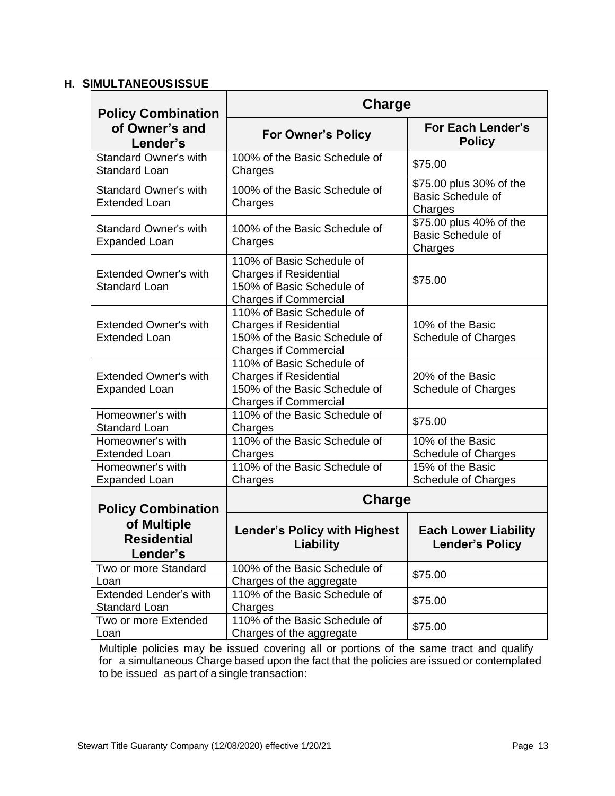# <span id="page-12-0"></span>**H. SIMULTANEOUSISSUE**

| <b>Policy Combination</b>                                     | <b>Charge</b>                                                                                                               |                                                                |  |  |  |  |
|---------------------------------------------------------------|-----------------------------------------------------------------------------------------------------------------------------|----------------------------------------------------------------|--|--|--|--|
| of Owner's and<br>Lender's                                    | <b>For Owner's Policy</b>                                                                                                   | <b>For Each Lender's</b><br><b>Policy</b>                      |  |  |  |  |
| Standard Owner's with<br>Standard Loan                        | 100% of the Basic Schedule of<br>Charges                                                                                    | \$75.00                                                        |  |  |  |  |
| <b>Standard Owner's with</b><br><b>Extended Loan</b>          | 100% of the Basic Schedule of<br>Charges                                                                                    | \$75.00 plus 30% of the<br><b>Basic Schedule of</b><br>Charges |  |  |  |  |
| <b>Standard Owner's with</b><br><b>Expanded Loan</b>          | 100% of the Basic Schedule of<br>Charges                                                                                    | \$75.00 plus 40% of the<br><b>Basic Schedule of</b><br>Charges |  |  |  |  |
| <b>Extended Owner's with</b><br><b>Standard Loan</b>          | 110% of Basic Schedule of<br><b>Charges if Residential</b><br>150% of Basic Schedule of<br><b>Charges if Commercial</b>     | \$75.00                                                        |  |  |  |  |
| <b>Extended Owner's with</b><br><b>Extended Loan</b>          | 110% of Basic Schedule of<br><b>Charges if Residential</b><br>150% of the Basic Schedule of<br><b>Charges if Commercial</b> | 10% of the Basic<br><b>Schedule of Charges</b>                 |  |  |  |  |
| <b>Extended Owner's with</b><br><b>Expanded Loan</b>          | 110% of Basic Schedule of<br><b>Charges if Residential</b><br>150% of the Basic Schedule of<br><b>Charges if Commercial</b> | 20% of the Basic<br>Schedule of Charges                        |  |  |  |  |
| Homeowner's with<br><b>Standard Loan</b>                      | 110% of the Basic Schedule of<br>Charges                                                                                    | \$75.00                                                        |  |  |  |  |
| Homeowner's with<br><b>Extended Loan</b>                      | 110% of the Basic Schedule of<br>Charges                                                                                    | 10% of the Basic<br><b>Schedule of Charges</b>                 |  |  |  |  |
| Homeowner's with<br><b>Expanded Loan</b>                      | 110% of the Basic Schedule of<br>Charges                                                                                    | 15% of the Basic<br>Schedule of Charges                        |  |  |  |  |
| <b>Policy Combination</b>                                     | <b>Charge</b>                                                                                                               |                                                                |  |  |  |  |
| of Multiple<br><b>Residential</b><br>Lender's                 | <b>Lender's Policy with Highest</b><br>Liability                                                                            | <b>Each Lower Liability</b><br><b>Lender's Policy</b>          |  |  |  |  |
| Two or more Standard                                          | 100% of the Basic Schedule of                                                                                               | \$75.00                                                        |  |  |  |  |
| Loan<br><b>Extended Lender's with</b><br><b>Standard Loan</b> | Charges of the aggregate<br>110% of the Basic Schedule of<br>Charges                                                        | \$75.00                                                        |  |  |  |  |
| Two or more Extended<br>Loan                                  | 110% of the Basic Schedule of<br>Charges of the aggregate                                                                   | \$75.00                                                        |  |  |  |  |

Multiple policies may be issued covering all or portions of the same tract and qualify for a simultaneous Charge based upon the fact that the policies are issued or contemplated to be issued as part of a single transaction: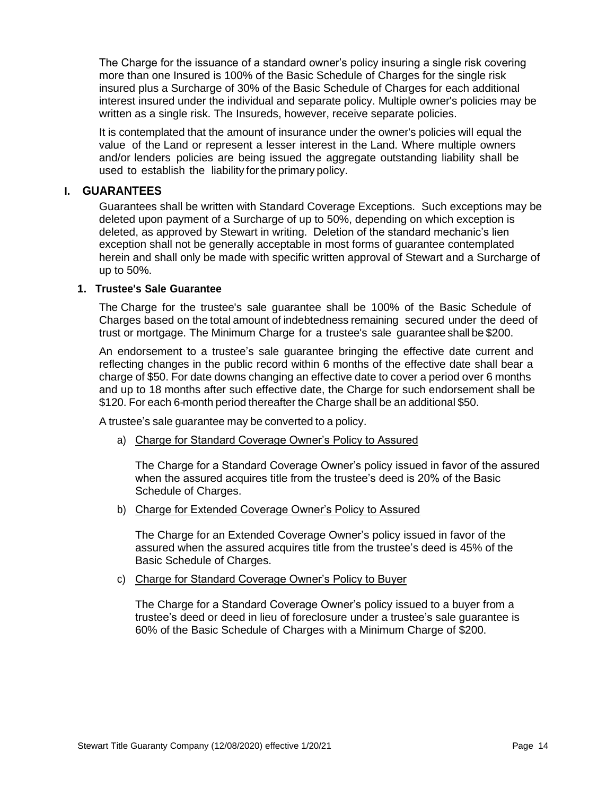The Charge for the issuance of a standard owner's policy insuring a single risk covering more than one Insured is 100% of the Basic Schedule of Charges for the single risk insured plus a Surcharge of 30% of the Basic Schedule of Charges for each additional interest insured under the individual and separate policy. Multiple owner's policies may be written as a single risk. The Insureds, however, receive separate policies.

It is contemplated that the amount of insurance under the owner's policies will equal the value of the Land or represent a lesser interest in the Land. Where multiple owners and/or lenders policies are being issued the aggregate outstanding liability shall be used to establish the liability for the primary policy.

#### <span id="page-13-0"></span>**I. GUARANTEES**

Guarantees shall be written with Standard Coverage Exceptions. Such exceptions may be deleted upon payment of a Surcharge of up to 50%, depending on which exception is deleted, as approved by Stewart in writing. Deletion of the standard mechanic's lien exception shall not be generally acceptable in most forms of guarantee contemplated herein and shall only be made with specific written approval of Stewart and a Surcharge of up to 50%.

#### <span id="page-13-1"></span>**1. Trustee's Sale Guarantee**

The Charge for the trustee's sale guarantee shall be 100% of the Basic Schedule of Charges based on the total amount of indebtedness remaining secured under the deed of trust or mortgage. The Minimum Charge for a trustee's sale guarantee shall be \$200.

An endorsement to a trustee's sale guarantee bringing the effective date current and reflecting changes in the public record within 6 months of the effective date shall bear a charge of \$50. For date downs changing an effective date to cover a period over 6 months and up to 18 months after such effective date, the Charge for such endorsement shall be \$120. For each 6-month period thereafter the Charge shall be an additional \$50.

A trustee's sale guarantee may be converted to a policy.

a) Charge for Standard Coverage Owner's Policy to Assured

The Charge for a Standard Coverage Owner's policy issued in favor of the assured when the assured acquires title from the trustee's deed is 20% of the Basic Schedule of Charges.

b) Charge for Extended Coverage Owner's Policy to Assured

The Charge for an Extended Coverage Owner's policy issued in favor of the assured when the assured acquires title from the trustee's deed is 45% of the Basic Schedule of Charges.

c) Charge for Standard Coverage Owner's Policy to Buyer

The Charge for a Standard Coverage Owner's policy issued to a buyer from a trustee's deed or deed in lieu of foreclosure under a trustee's sale guarantee is 60% of the Basic Schedule of Charges with a Minimum Charge of \$200.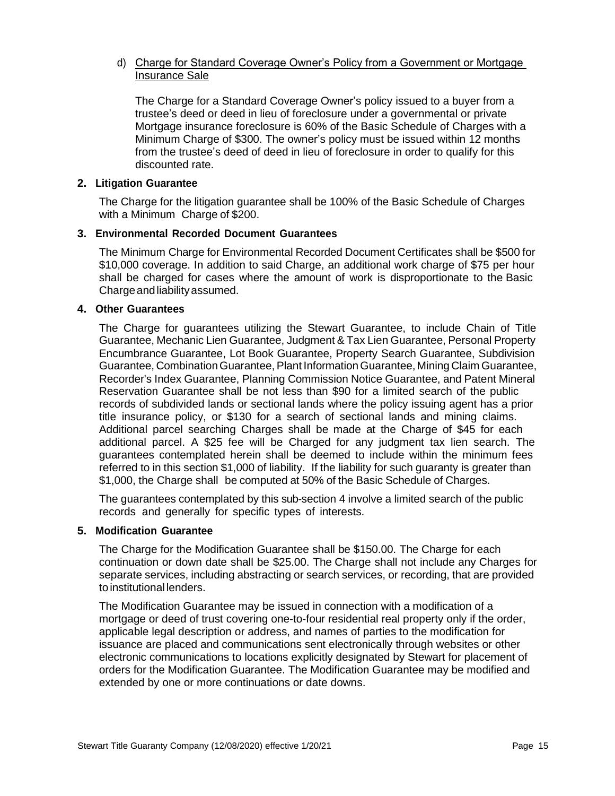#### d) Charge for Standard Coverage Owner's Policy from a Government or Mortgage Insurance Sale

The Charge for a Standard Coverage Owner's policy issued to a buyer from a trustee's deed or deed in lieu of foreclosure under a governmental or private Mortgage insurance foreclosure is 60% of the Basic Schedule of Charges with a Minimum Charge of \$300. The owner's policy must be issued within 12 months from the trustee's deed of deed in lieu of foreclosure in order to qualify for this discounted rate.

#### <span id="page-14-0"></span>**2. Litigation Guarantee**

The Charge for the litigation guarantee shall be 100% of the Basic Schedule of Charges with a Minimum Charge of \$200.

#### <span id="page-14-1"></span>**3. Environmental Recorded Document Guarantees**

The Minimum Charge for Environmental Recorded Document Certificates shall be \$500 for \$10,000 coverage. In addition to said Charge, an additional work charge of \$75 per hour shall be charged for cases where the amount of work is disproportionate to the Basic Charge and liability assumed.

#### <span id="page-14-2"></span>**4. Other Guarantees**

The Charge for guarantees utilizing the Stewart Guarantee, to include Chain of Title Guarantee, Mechanic Lien Guarantee, Judgment & Tax Lien Guarantee, Personal Property Encumbrance Guarantee, Lot Book Guarantee, Property Search Guarantee, Subdivision Guarantee, CombinationGuarantee, Plant InformationGuarantee, Mining Claim Guarantee, Recorder's Index Guarantee, Planning Commission Notice Guarantee, and Patent Mineral Reservation Guarantee shall be not less than \$90 for a limited search of the public records of subdivided lands or sectional lands where the policy issuing agent has a prior title insurance policy, or \$130 for a search of sectional lands and mining claims. Additional parcel searching Charges shall be made at the Charge of \$45 for each additional parcel. A \$25 fee will be Charged for any judgment tax lien search. The guarantees contemplated herein shall be deemed to include within the minimum fees referred to in this section \$1,000 of liability. If the liability for such guaranty is greater than \$1,000, the Charge shall be computed at 50% of the Basic Schedule of Charges.

The guarantees contemplated by this sub-section 4 involve a limited search of the public records and generally for specific types of interests.

#### <span id="page-14-3"></span>**5. Modification Guarantee**

The Charge for the Modification Guarantee shall be \$150.00. The Charge for each continuation or down date shall be \$25.00. The Charge shall not include any Charges for separate services, including abstracting or search services, or recording, that are provided to institutional lenders.

The Modification Guarantee may be issued in connection with a modification of a mortgage or deed of trust covering one-to-four residential real property only if the order, applicable legal description or address, and names of parties to the modification for issuance are placed and communications sent electronically through websites or other electronic communications to locations explicitly designated by Stewart for placement of orders for the Modification Guarantee. The Modification Guarantee may be modified and extended by one or more continuations or date downs.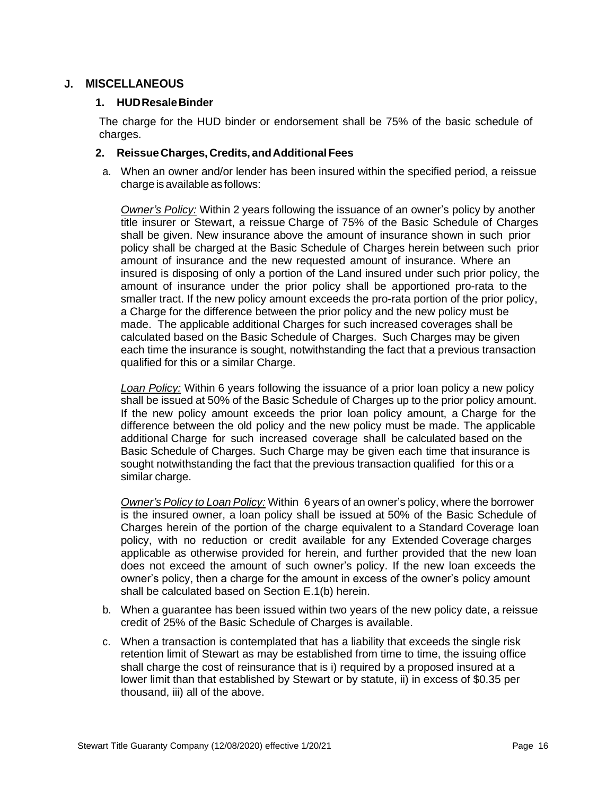#### <span id="page-15-0"></span>**J. MISCELLANEOUS**

#### <span id="page-15-1"></span>**1. HUDResaleBinder**

The charge for the HUD binder or endorsement shall be 75% of the basic schedule of charges.

#### <span id="page-15-2"></span>**2. ReissueCharges, Credits, andAdditionalFees**

a. When an owner and/or lender has been insured within the specified period, a reissue charge is available as follows:

*Owner's Policy:* Within 2 years following the issuance of an owner's policy by another title insurer or Stewart, a reissue Charge of 75% of the Basic Schedule of Charges shall be given. New insurance above the amount of insurance shown in such prior policy shall be charged at the Basic Schedule of Charges herein between such prior amount of insurance and the new requested amount of insurance. Where an insured is disposing of only a portion of the Land insured under such prior policy, the amount of insurance under the prior policy shall be apportioned pro-rata to the smaller tract. If the new policy amount exceeds the pro-rata portion of the prior policy, a Charge for the difference between the prior policy and the new policy must be made. The applicable additional Charges for such increased coverages shall be calculated based on the Basic Schedule of Charges. Such Charges may be given each time the insurance is sought, notwithstanding the fact that a previous transaction qualified for this or a similar Charge.

*Loan Policy:* Within 6 years following the issuance of a prior loan policy a new policy shall be issued at 50% of the Basic Schedule of Charges up to the prior policy amount. If the new policy amount exceeds the prior loan policy amount, a Charge for the difference between the old policy and the new policy must be made. The applicable additional Charge for such increased coverage shall be calculated based on the Basic Schedule of Charges. Such Charge may be given each time that insurance is sought notwithstanding the fact that the previous transaction qualified for this or a similar charge.

*Owner's Policy to Loan Policy:* Within 6 years of an owner's policy, where the borrower is the insured owner, a loan policy shall be issued at 50% of the Basic Schedule of Charges herein of the portion of the charge equivalent to a Standard Coverage loan policy, with no reduction or credit available for any Extended Coverage charges applicable as otherwise provided for herein, and further provided that the new loan does not exceed the amount of such owner's policy. If the new loan exceeds the owner's policy, then a charge for the amount in excess of the owner's policy amount shall be calculated based on Section E.1(b) herein.

- b. When a guarantee has been issued within two years of the new policy date, a reissue credit of 25% of the Basic Schedule of Charges is available.
- c. When a transaction is contemplated that has a liability that exceeds the single risk retention limit of Stewart as may be established from time to time, the issuing office shall charge the cost of reinsurance that is i) required by a proposed insured at a lower limit than that established by Stewart or by statute, ii) in excess of \$0.35 per thousand, iii) all of the above.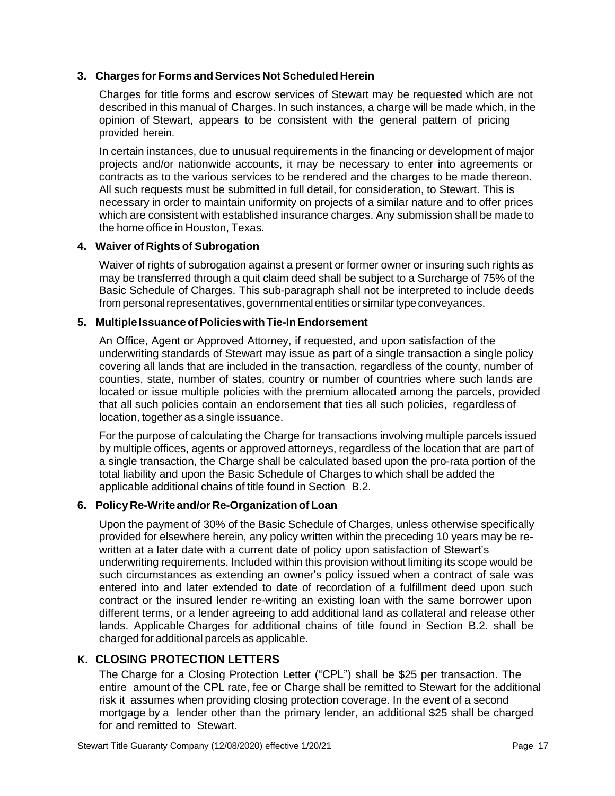#### <span id="page-16-0"></span>**3. Charges for Forms andServices NotScheduled Herein**

Charges for title forms and escrow services of Stewart may be requested which are not described in this manual of Charges. In such instances, a charge will be made which, in the opinion of Stewart, appears to be consistent with the general pattern of pricing provided herein.

In certain instances, due to unusual requirements in the financing or development of major projects and/or nationwide accounts, it may be necessary to enter into agreements or contracts as to the various services to be rendered and the charges to be made thereon. All such requests must be submitted in full detail, for consideration, to Stewart. This is necessary in order to maintain uniformity on projects of a similar nature and to offer prices which are consistent with established insurance charges. Any submission shall be made to the home office in Houston, Texas.

#### <span id="page-16-1"></span>**4. Waiver of Rights of Subrogation**

Waiver of rights of subrogation against a present or former owner or insuring such rights as may be transferred through a quit claim deed shall be subject to a Surcharge of 75% of the Basic Schedule of Charges. This sub-paragraph shall not be interpreted to include deeds from personal representatives, governmental entities or similar type conveyances.

#### <span id="page-16-2"></span>**5. MultipleIssuanceofPolicieswithTie-InEndorsement**

An Office, Agent or Approved Attorney, if requested, and upon satisfaction of the underwriting standards of Stewart may issue as part of a single transaction a single policy covering all lands that are included in the transaction, regardless of the county, number of counties, state, number of states, country or number of countries where such lands are located or issue multiple policies with the premium allocated among the parcels, provided that all such policies contain an endorsement that ties all such policies, regardless of location, together as a single issuance.

For the purpose of calculating the Charge for transactions involving multiple parcels issued by multiple offices, agents or approved attorneys, regardless of the location that are part of a single transaction, the Charge shall be calculated based upon the pro-rata portion of the total liability and upon the Basic Schedule of Charges to which shall be added the applicable additional chains of title found in Section B.2.

#### <span id="page-16-3"></span>**6. Policy Re-Write and/or Re-Organizationof Loan**

Upon the payment of 30% of the Basic Schedule of Charges, unless otherwise specifically provided for elsewhere herein, any policy written within the preceding 10 years may be rewritten at a later date with a current date of policy upon satisfaction of Stewart's underwriting requirements. Included within this provision without limiting its scope would be such circumstances as extending an owner's policy issued when a contract of sale was entered into and later extended to date of recordation of a fulfillment deed upon such contract or the insured lender re-writing an existing loan with the same borrower upon different terms, or a lender agreeing to add additional land as collateral and release other lands. Applicable Charges for additional chains of title found in Section B.2. shall be charged for additional parcels as applicable.

# <span id="page-16-4"></span>**K. CLOSING PROTECTION LETTERS**

The Charge for a Closing Protection Letter ("CPL") shall be \$25 per transaction. The entire amount of the CPL rate, fee or Charge shall be remitted to Stewart for the additional risk it assumes when providing closing protection coverage. In the event of a second mortgage by a lender other than the primary lender, an additional \$25 shall be charged for and remitted to Stewart.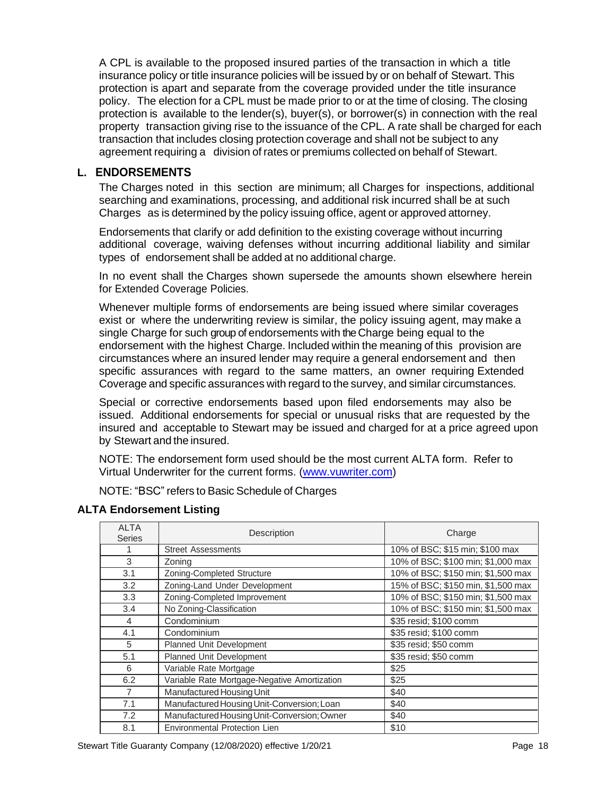A CPL is available to the proposed insured parties of the transaction in which a title insurance policy or title insurance policies will be issued by or on behalf of Stewart. This protection is apart and separate from the coverage provided under the title insurance policy. The election for a CPL must be made prior to or at the time of closing. The closing protection is available to the lender(s), buyer(s), or borrower(s) in connection with the real property transaction giving rise to the issuance of the CPL. A rate shall be charged for each transaction that includes closing protection coverage and shall not be subject to any agreement requiring a division of rates or premiums collected on behalf of Stewart.

# <span id="page-17-0"></span>**L. ENDORSEMENTS**

The Charges noted in this section are minimum; all Charges for inspections, additional searching and examinations, processing, and additional risk incurred shall be at such Charges as is determined by the policy issuing office, agent or approved attorney.

Endorsements that clarify or add definition to the existing coverage without incurring additional coverage, waiving defenses without incurring additional liability and similar types of endorsement shall be added at no additional charge.

In no event shall the Charges shown supersede the amounts shown elsewhere herein for Extended Coverage Policies.

Whenever multiple forms of endorsements are being issued where similar coverages exist or where the underwriting review is similar, the policy issuing agent, may make a single Charge for such group of endorsements with theCharge being equal to the endorsement with the highest Charge. Included within the meaning of this provision are circumstances where an insured lender may require a general endorsement and then specific assurances with regard to the same matters, an owner requiring Extended Coverage and specific assurances with regard to the survey, and similar circumstances.

Special or corrective endorsements based upon filed endorsements may also be issued. Additional endorsements for special or unusual risks that are requested by the insured and acceptable to Stewart may be issued and charged for at a price agreed upon by Stewart and the insured.

NOTE: The endorsement form used should be the most current ALTA form. Refer to Virtual Underwriter for the current forms. [\(www.vuwriter.com\)](https://www.vuwriter.com/en.html)

NOTE: "BSC" refers to Basic Schedule of Charges

| <b>ALTA</b><br><b>Series</b> | Description                                  | Charge                             |
|------------------------------|----------------------------------------------|------------------------------------|
|                              | <b>Street Assessments</b>                    | 10% of BSC; \$15 min; \$100 max    |
| 3                            | Zoning                                       | 10% of BSC; \$100 min; \$1,000 max |
| 3.1                          | Zoning-Completed Structure                   | 10% of BSC; \$150 min; \$1,500 max |
| 3.2                          | Zoning-Land Under Development                | 15% of BSC; \$150 min, \$1,500 max |
| 3.3                          | Zoning-Completed Improvement                 | 10% of BSC; \$150 min; \$1,500 max |
| 3.4                          | No Zoning-Classification                     | 10% of BSC; \$150 min; \$1,500 max |
| 4                            | Condominium                                  | \$35 resid; \$100 comm             |
| 4.1                          | Condominium                                  | \$35 resid; \$100 comm             |
| 5                            | Planned Unit Development                     | \$35 resid; \$50 comm              |
| 5.1                          | Planned Unit Development                     | \$35 resid; \$50 comm              |
| 6                            | Variable Rate Mortgage                       | \$25                               |
| 6.2                          | Variable Rate Mortgage-Negative Amortization | \$25                               |
| $\overline{7}$               | Manufactured Housing Unit                    | \$40                               |
| 7.1                          | Manufactured Housing Unit-Conversion; Loan   | \$40                               |
| 7.2                          | Manufactured Housing Unit-Conversion; Owner  | \$40                               |
| 8.1                          | Environmental Protection Lien                | \$10                               |

#### <span id="page-17-1"></span>**ALTA Endorsement Listing**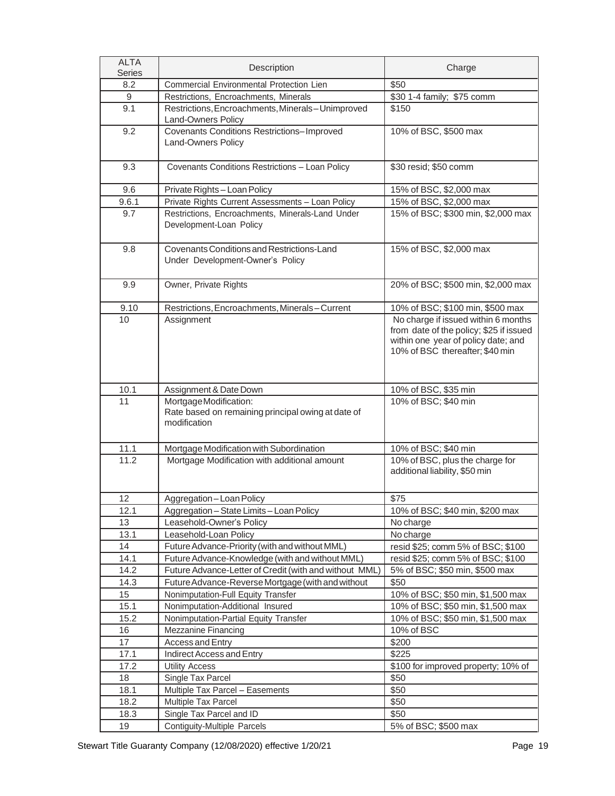| <b>ALTA</b><br><b>Series</b> | Description                                                                                 | Charge                                                                                                                                                   |
|------------------------------|---------------------------------------------------------------------------------------------|----------------------------------------------------------------------------------------------------------------------------------------------------------|
| 8.2                          | Commercial Environmental Protection Lien                                                    | \$50                                                                                                                                                     |
| 9                            | Restrictions, Encroachments, Minerals                                                       | \$30 1-4 family; \$75 comm                                                                                                                               |
| 9.1                          | Restrictions, Encroachments, Minerals-Unimproved<br>Land-Owners Policy                      | \$150                                                                                                                                                    |
| 9.2                          | <b>Covenants Conditions Restrictions-Improved</b><br>Land-Owners Policy                     | 10% of BSC, \$500 max                                                                                                                                    |
| 9.3                          | Covenants Conditions Restrictions - Loan Policy                                             | \$30 resid; \$50 comm                                                                                                                                    |
| 9.6                          | Private Rights-Loan Policy                                                                  | 15% of BSC, \$2,000 max                                                                                                                                  |
| 9.6.1                        | Private Rights Current Assessments - Loan Policy                                            | 15% of BSC, \$2,000 max                                                                                                                                  |
| 9.7                          | Restrictions, Encroachments, Minerals-Land Under<br>Development-Loan Policy                 | 15% of BSC; \$300 min, \$2,000 max                                                                                                                       |
| 9.8                          | Covenants Conditions and Restrictions-Land<br>Under Development-Owner's Policy              | 15% of BSC, \$2,000 max                                                                                                                                  |
| 9.9                          | Owner, Private Rights                                                                       | 20% of BSC; \$500 min, \$2,000 max                                                                                                                       |
| 9.10                         | Restrictions, Encroachments, Minerals-Current                                               | 10% of BSC; \$100 min, \$500 max                                                                                                                         |
| 10                           | Assignment                                                                                  | No charge if issued within 6 months<br>from date of the policy; \$25 if issued<br>within one year of policy date; and<br>10% of BSC thereafter; \$40 min |
| 10.1                         | Assignment & Date Down                                                                      | 10% of BSC, \$35 min                                                                                                                                     |
| 11                           | MortgageModification:<br>Rate based on remaining principal owing at date of<br>modification | 10% of BSC; \$40 min                                                                                                                                     |
| 11.1                         | Mortgage Modification with Subordination                                                    | 10% of BSC; \$40 min                                                                                                                                     |
| 11.2                         | Mortgage Modification with additional amount                                                | 10% of BSC, plus the charge for<br>additional liability, \$50 min                                                                                        |
| 12                           | Aggregation-Loan Policy                                                                     | \$75                                                                                                                                                     |
| 12.1                         | Aggregation - State Limits - Loan Policy                                                    | 10% of BSC; \$40 min, \$200 max                                                                                                                          |
| 13                           | Leasehold-Owner's Policy                                                                    | No charge                                                                                                                                                |
| 13.1                         | Leasehold-Loan Policy                                                                       | No charge                                                                                                                                                |
| 14                           | Future Advance-Priority (with and without MML)                                              | resid \$25; comm 5% of BSC; \$100                                                                                                                        |
| 14.1                         | Future Advance-Knowledge (with and without MML)                                             | resid \$25; comm 5% of BSC; \$100                                                                                                                        |
| 14.2                         | Future Advance-Letter of Credit (with and without MML)                                      | 5% of BSC; \$50 min, \$500 max                                                                                                                           |
| 14.3                         | Future Advance-Reverse Mortgage (with and without                                           | \$50                                                                                                                                                     |
| 15                           | Nonimputation-Full Equity Transfer                                                          | 10% of BSC; \$50 min, \$1,500 max                                                                                                                        |
| 15.1                         | Nonimputation-Additional Insured                                                            | 10% of BSC; \$50 min, \$1,500 max                                                                                                                        |
| 15.2                         | Nonimputation-Partial Equity Transfer                                                       | 10% of BSC; \$50 min, \$1,500 max                                                                                                                        |
| 16                           | <b>Mezzanine Financing</b>                                                                  | 10% of BSC                                                                                                                                               |
| 17                           | Access and Entry                                                                            | \$200                                                                                                                                                    |
| 17.1                         | Indirect Access and Entry                                                                   | \$225                                                                                                                                                    |
| 17.2                         | <b>Utility Access</b>                                                                       | \$100 for improved property; 10% of                                                                                                                      |
| 18                           | Single Tax Parcel                                                                           | \$50                                                                                                                                                     |
| 18.1                         | Multiple Tax Parcel - Easements                                                             | \$50                                                                                                                                                     |
| 18.2                         | <b>Multiple Tax Parcel</b>                                                                  | \$50                                                                                                                                                     |
| 18.3                         | Single Tax Parcel and ID                                                                    | \$50                                                                                                                                                     |
| 19                           | <b>Contiguity-Multiple Parcels</b>                                                          | 5% of BSC; \$500 max                                                                                                                                     |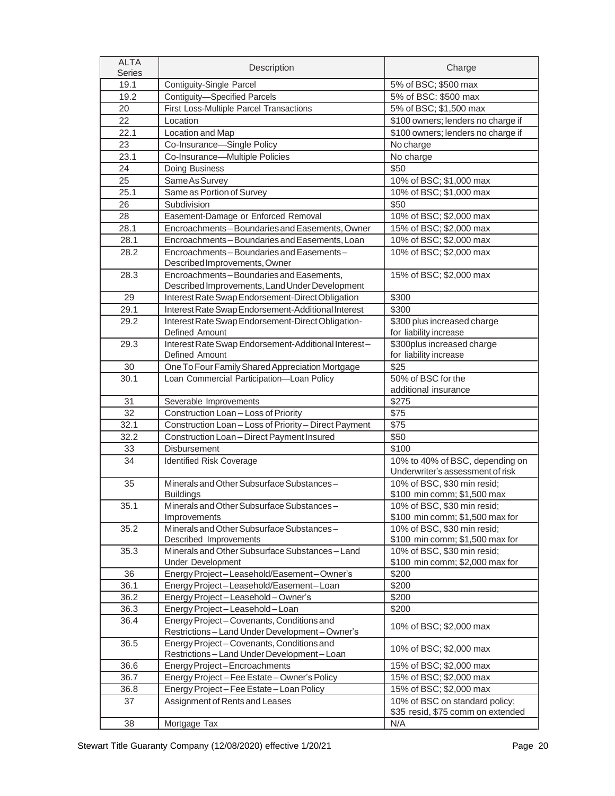| <b>ALTA</b><br><b>Series</b> | Description                                                                             | Charge                                                              |  |  |  |
|------------------------------|-----------------------------------------------------------------------------------------|---------------------------------------------------------------------|--|--|--|
| 19.1                         | <b>Contiguity-Single Parcel</b>                                                         | 5% of BSC; \$500 max                                                |  |  |  |
| 19.2                         | Contiguity-Specified Parcels                                                            | 5% of BSC: \$500 max                                                |  |  |  |
| 20                           | First Loss-Multiple Parcel Transactions                                                 | 5% of BSC; \$1,500 max                                              |  |  |  |
| 22                           | Location                                                                                | \$100 owners; lenders no charge if                                  |  |  |  |
| 22.1                         | Location and Map                                                                        | \$100 owners; lenders no charge if                                  |  |  |  |
| 23                           | Co-Insurance-Single Policy                                                              | No charge                                                           |  |  |  |
| 23.1                         | Co-Insurance-Multiple Policies                                                          | No charge                                                           |  |  |  |
| 24                           | Doing Business                                                                          | \$50                                                                |  |  |  |
| 25                           | Same As Survey                                                                          | 10% of BSC; \$1,000 max                                             |  |  |  |
| 25.1                         | Same as Portion of Survey                                                               | 10% of BSC; \$1,000 max                                             |  |  |  |
| 26                           | Subdivision                                                                             | \$50                                                                |  |  |  |
| 28                           | Easement-Damage or Enforced Removal                                                     | 10% of BSC; \$2,000 max                                             |  |  |  |
| 28.1                         | Encroachments-Boundaries and Easements, Owner                                           | 15% of BSC; \$2,000 max                                             |  |  |  |
| 28.1                         | Encroachments-Boundaries and Easements, Loan                                            | 10% of BSC; \$2,000 max                                             |  |  |  |
| 28.2                         | Encroachments - Boundaries and Easements -                                              | 10% of BSC; \$2,000 max                                             |  |  |  |
|                              | Described Improvements, Owner                                                           |                                                                     |  |  |  |
| 28.3                         | Encroachments-Boundaries and Easements,                                                 | 15% of BSC; \$2,000 max                                             |  |  |  |
|                              | Described Improvements, Land Under Development                                          |                                                                     |  |  |  |
| 29                           | Interest Rate Swap Endorsement-Direct Obligation                                        | \$300                                                               |  |  |  |
| 29.1                         | Interest Rate Swap Endorsement-Additional Interest                                      | \$300                                                               |  |  |  |
| 29.2                         | Interest Rate Swap Endorsement-Direct Obligation-                                       | \$300 plus increased charge                                         |  |  |  |
|                              | Defined Amount                                                                          | for liability increase                                              |  |  |  |
| 29.3                         | Interest Rate Swap Endorsement-Additional Interest-                                     | \$300plus increased charge                                          |  |  |  |
|                              | Defined Amount                                                                          | for liability increase                                              |  |  |  |
| 30                           | One To Four Family Shared Appreciation Mortgage                                         | \$25                                                                |  |  |  |
| 30.1                         | Loan Commercial Participation-Loan Policy                                               | 50% of BSC for the                                                  |  |  |  |
|                              |                                                                                         | additional insurance                                                |  |  |  |
| 31                           | Severable Improvements                                                                  | \$275                                                               |  |  |  |
| 32                           | Construction Loan - Loss of Priority                                                    | \$75                                                                |  |  |  |
| 32.1                         | Construction Loan - Loss of Priority - Direct Payment                                   | \$75                                                                |  |  |  |
| 32.2                         | Construction Loan - Direct Payment Insured                                              | \$50                                                                |  |  |  |
| 33                           | Disbursement                                                                            | \$100                                                               |  |  |  |
| 34                           | Identified Risk Coverage                                                                | 10% to 40% of BSC, depending on<br>Underwriter's assessment of risk |  |  |  |
| 35                           | Minerals and Other Subsurface Substances-                                               | 10% of BSC, \$30 min resid;                                         |  |  |  |
|                              | <b>Buildings</b>                                                                        | \$100 min comm; \$1,500 max                                         |  |  |  |
| 35.1                         | Minerals and Other Subsurface Substances-                                               | 10% of BSC, \$30 min resid:                                         |  |  |  |
|                              | Improvements                                                                            | \$100 min comm; \$1,500 max for                                     |  |  |  |
| 35.2                         | Minerals and Other Subsurface Substances-                                               | 10% of BSC, \$30 min resid;                                         |  |  |  |
|                              | Described Improvements                                                                  | \$100 min comm; \$1,500 max for                                     |  |  |  |
| 35.3                         | Minerals and Other Subsurface Substances-Land                                           | 10% of BSC, \$30 min resid;                                         |  |  |  |
|                              | <b>Under Development</b>                                                                | \$100 min comm; \$2,000 max for                                     |  |  |  |
| 36                           | Energy Project-Leasehold/Easement-Owner's                                               | \$200                                                               |  |  |  |
| 36.1                         | Energy Project-Leasehold/Easement-Loan                                                  | \$200                                                               |  |  |  |
| 36.2                         | Energy Project-Leasehold-Owner's                                                        | \$200                                                               |  |  |  |
| 36.3                         | Energy Project-Leasehold-Loan                                                           | \$200                                                               |  |  |  |
| 36.4                         | Energy Project-Covenants, Conditions and<br>Restrictions-Land Under Development-Owner's | 10% of BSC; \$2,000 max                                             |  |  |  |
| 36.5                         | Energy Project-Covenants, Conditions and<br>Restrictions-Land Under Development-Loan    | 10% of BSC; \$2,000 max                                             |  |  |  |
| 36.6                         | Energy Project-Encroachments                                                            | 15% of BSC; \$2,000 max                                             |  |  |  |
| 36.7                         | Energy Project-Fee Estate-Owner's Policy                                                | 15% of BSC; \$2,000 max                                             |  |  |  |
| 36.8                         | Energy Project - Fee Estate - Loan Policy                                               | 15% of BSC; \$2,000 max                                             |  |  |  |
| 37                           | Assignment of Rents and Leases                                                          | 10% of BSC on standard policy;<br>\$35 resid, \$75 comm on extended |  |  |  |
| 38                           | Mortgage Tax                                                                            | N/A                                                                 |  |  |  |
|                              |                                                                                         |                                                                     |  |  |  |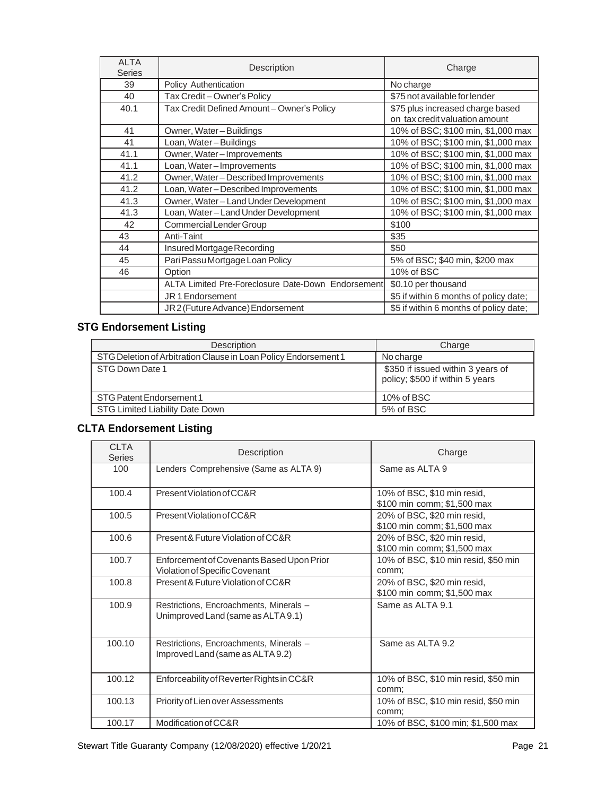| <b>ALTA</b><br><b>Series</b> | Description                                        | Charge                                                             |
|------------------------------|----------------------------------------------------|--------------------------------------------------------------------|
| 39                           | Policy Authentication                              | No charge                                                          |
| 40                           | Tax Credit - Owner's Policy                        | \$75 not available for lender                                      |
| 40.1                         | Tax Credit Defined Amount - Owner's Policy         | \$75 plus increased charge based<br>on tax credit valuation amount |
| 41                           | Owner, Water-Buildings                             | 10% of BSC; \$100 min, \$1,000 max                                 |
| 41                           | Loan, Water-Buildings                              | 10% of BSC; \$100 min, \$1,000 max                                 |
| 41.1                         | Owner, Water-Improvements                          | 10% of BSC; \$100 min, \$1,000 max                                 |
| 41.1                         | Loan, Water-Improvements                           | 10% of BSC; \$100 min, \$1,000 max                                 |
| 41.2                         | Owner, Water - Described Improvements              | 10% of BSC; \$100 min, \$1,000 max                                 |
| 41.2                         | Loan, Water-Described Improvements                 | 10% of BSC; \$100 min, \$1,000 max                                 |
| 41.3                         | Owner, Water-Land Under Development                | 10% of BSC; \$100 min, \$1,000 max                                 |
| 41.3                         | Loan, Water - Land Under Development               | 10% of BSC; \$100 min, \$1,000 max                                 |
| 42                           | Commercial Lender Group                            | \$100                                                              |
| 43                           | Anti-Taint                                         | \$35                                                               |
| 44                           | Insured Mortgage Recording                         | \$50                                                               |
| 45                           | Pari Passu Mortgage Loan Policy                    | 5% of BSC; \$40 min, \$200 max                                     |
| 46                           | Option                                             | 10% of BSC                                                         |
|                              | ALTA Limited Pre-Foreclosure Date-Down Endorsement | \$0.10 per thousand                                                |
|                              | JR 1 Endorsement                                   | \$5 if within 6 months of policy date;                             |
|                              | JR2 (Future Advance) Endorsement                   | \$5 if within 6 months of policy date;                             |

# <span id="page-20-0"></span>**STG Endorsement Listing**

| Description                                                     | Charge                                                               |
|-----------------------------------------------------------------|----------------------------------------------------------------------|
| STG Deletion of Arbitration Clause in Loan Policy Endorsement 1 | No charge                                                            |
| STG Down Date 1                                                 | \$350 if issued within 3 years of<br>policy; \$500 if within 5 years |
| STG Patent Endorsement 1                                        | 10% of BSC                                                           |
| STG Limited Liability Date Down                                 | 5% of BSC                                                            |

# <span id="page-20-1"></span>**CLTA Endorsement Listing**

| <b>CLTA</b><br><b>Series</b> | Description                                                                   | Charge                                                     |
|------------------------------|-------------------------------------------------------------------------------|------------------------------------------------------------|
| 100                          | Lenders Comprehensive (Same as ALTA 9)                                        | Same as ALTA 9                                             |
| 100.4                        | Present Violation of CC&R                                                     | 10% of BSC, \$10 min resid,<br>\$100 min comm; \$1,500 max |
| 100.5                        | Present Violation of CC&R                                                     | 20% of BSC, \$20 min resid,<br>\$100 min comm; \$1,500 max |
| 100.6                        | Present & Future Violation of CC&R                                            | 20% of BSC, \$20 min resid,<br>\$100 min comm; \$1,500 max |
| 100.7                        | Enforcement of Covenants Based Upon Prior<br>Violation of Specific Covenant   | 10% of BSC, \$10 min resid, \$50 min<br>comm;              |
| 100.8                        | Present & Future Violation of CC&R                                            | 20% of BSC, \$20 min resid,<br>\$100 min comm; \$1,500 max |
| 100.9                        | Restrictions, Encroachments, Minerals -<br>Unimproved Land (same as ALTA 9.1) | Same as ALTA 9.1                                           |
| 100.10                       | Restrictions, Encroachments, Minerals -<br>Improved Land (same as ALTA 9.2)   | Same as ALTA 9.2                                           |
| 100.12                       | Enforceability of Reverter Rights in CC&R                                     | 10% of BSC, \$10 min resid, \$50 min<br>comm;              |
| 100.13                       | Priority of Lien over Assessments                                             | 10% of BSC, \$10 min resid, \$50 min<br>comm;              |
| 100.17                       | Modification of CC&R                                                          | 10% of BSC, \$100 min; \$1,500 max                         |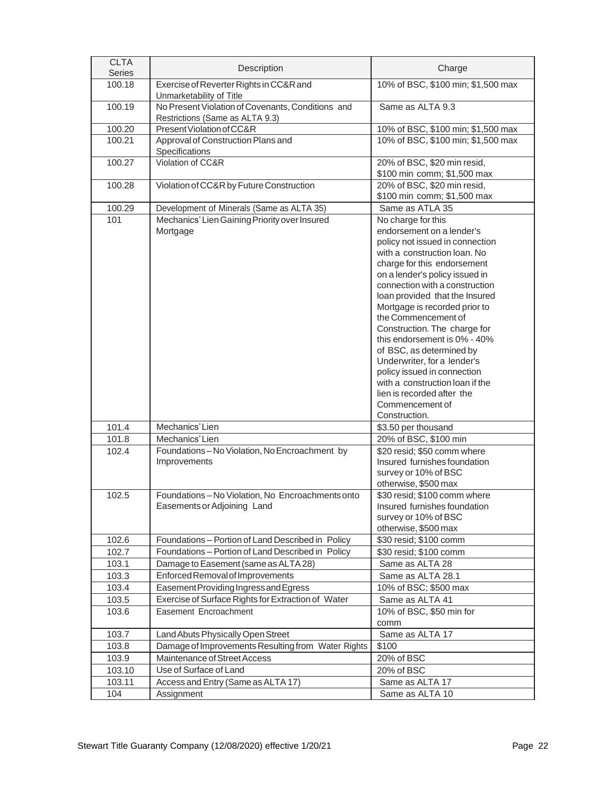| <b>CLTA</b><br>Series | Description                                                                          | Charge                                                                                                                                                                                                                                                                                                                                                                                                                                                                                                                                                                         |
|-----------------------|--------------------------------------------------------------------------------------|--------------------------------------------------------------------------------------------------------------------------------------------------------------------------------------------------------------------------------------------------------------------------------------------------------------------------------------------------------------------------------------------------------------------------------------------------------------------------------------------------------------------------------------------------------------------------------|
| 100.18                | Exercise of Reverter Rights in CC&R and<br>Unmarketability of Title                  | 10% of BSC, \$100 min; \$1,500 max                                                                                                                                                                                                                                                                                                                                                                                                                                                                                                                                             |
| 100.19                | No Present Violation of Covenants, Conditions and<br>Restrictions (Same as ALTA 9.3) | Same as ALTA 9.3                                                                                                                                                                                                                                                                                                                                                                                                                                                                                                                                                               |
| 100.20                | Present Violation of CC&R                                                            | 10% of BSC, \$100 min; \$1,500 max                                                                                                                                                                                                                                                                                                                                                                                                                                                                                                                                             |
| 100.21                | Approval of Construction Plans and<br>Specifications                                 | 10% of BSC, \$100 min; \$1,500 max                                                                                                                                                                                                                                                                                                                                                                                                                                                                                                                                             |
| 100.27                | Violation of CC&R                                                                    | 20% of BSC, \$20 min resid,<br>\$100 min comm; \$1,500 max                                                                                                                                                                                                                                                                                                                                                                                                                                                                                                                     |
| 100.28                | Violation of CC&R by Future Construction                                             | 20% of BSC, \$20 min resid,<br>\$100 min comm; \$1,500 max                                                                                                                                                                                                                                                                                                                                                                                                                                                                                                                     |
| 100.29                | Development of Minerals (Same as ALTA 35)                                            | Same as ATLA 35                                                                                                                                                                                                                                                                                                                                                                                                                                                                                                                                                                |
| 101                   | Mechanics' Lien Gaining Priority over Insured<br>Mortgage                            | No charge for this<br>endorsement on a lender's<br>policy not issued in connection<br>with a construction loan. No<br>charge for this endorsement<br>on a lender's policy issued in<br>connection with a construction<br>loan provided that the Insured<br>Mortgage is recorded prior to<br>the Commencement of<br>Construction. The charge for<br>this endorsement is 0% - 40%<br>of BSC, as determined by<br>Underwriter, for a lender's<br>policy issued in connection<br>with a construction loan if the<br>lien is recorded after the<br>Commencement of<br>Construction. |
| 101.4                 | Mechanics' Lien                                                                      | \$3.50 per thousand                                                                                                                                                                                                                                                                                                                                                                                                                                                                                                                                                            |
| 101.8                 | Mechanics' Lien                                                                      | 20% of BSC, \$100 min                                                                                                                                                                                                                                                                                                                                                                                                                                                                                                                                                          |
| 102.4                 | Foundations-No Violation, No Encroachment by<br>Improvements                         | \$20 resid; \$50 comm where<br>Insured furnishes foundation<br>survey or 10% of BSC<br>otherwise, \$500 max                                                                                                                                                                                                                                                                                                                                                                                                                                                                    |
| 102.5                 | Foundations-No Violation, No Encroachments onto<br>Easements or Adjoining Land       | \$30 resid; \$100 comm where<br>Insured furnishes foundation<br>survey or 10% of BSC<br>otherwise, \$500 max                                                                                                                                                                                                                                                                                                                                                                                                                                                                   |
| 102.6                 | Foundations - Portion of Land Described in Policy                                    | \$30 resid; \$100 comm                                                                                                                                                                                                                                                                                                                                                                                                                                                                                                                                                         |
| 102.7                 | Foundations - Portion of Land Described in Policy                                    | \$30 resid; \$100 comm                                                                                                                                                                                                                                                                                                                                                                                                                                                                                                                                                         |
| 103.1                 | Damage to Easement (same as ALTA 28)                                                 | Same as ALTA 28                                                                                                                                                                                                                                                                                                                                                                                                                                                                                                                                                                |
| 103.3                 | Enforced Removal of Improvements                                                     | Same as ALTA 28.1                                                                                                                                                                                                                                                                                                                                                                                                                                                                                                                                                              |
| 103.4                 | Easement Providing Ingress and Egress                                                | 10% of BSC; \$500 max                                                                                                                                                                                                                                                                                                                                                                                                                                                                                                                                                          |
| 103.5                 | Exercise of Surface Rights for Extraction of Water                                   | Same as ALTA 41                                                                                                                                                                                                                                                                                                                                                                                                                                                                                                                                                                |
| 103.6                 | Easement Encroachment                                                                | 10% of BSC, \$50 min for<br>comm                                                                                                                                                                                                                                                                                                                                                                                                                                                                                                                                               |
| 103.7                 | Land Abuts Physically Open Street                                                    | Same as ALTA 17                                                                                                                                                                                                                                                                                                                                                                                                                                                                                                                                                                |
| 103.8                 | Damage of Improvements Resulting from Water Rights                                   | \$100                                                                                                                                                                                                                                                                                                                                                                                                                                                                                                                                                                          |
| 103.9                 | Maintenance of Street Access                                                         | 20% of BSC                                                                                                                                                                                                                                                                                                                                                                                                                                                                                                                                                                     |
| 103.10                | Use of Surface of Land                                                               | 20% of BSC                                                                                                                                                                                                                                                                                                                                                                                                                                                                                                                                                                     |
| 103.11                | Access and Entry (Same as ALTA 17)                                                   | Same as ALTA 17                                                                                                                                                                                                                                                                                                                                                                                                                                                                                                                                                                |
| 104                   | Assignment                                                                           | Same as ALTA 10                                                                                                                                                                                                                                                                                                                                                                                                                                                                                                                                                                |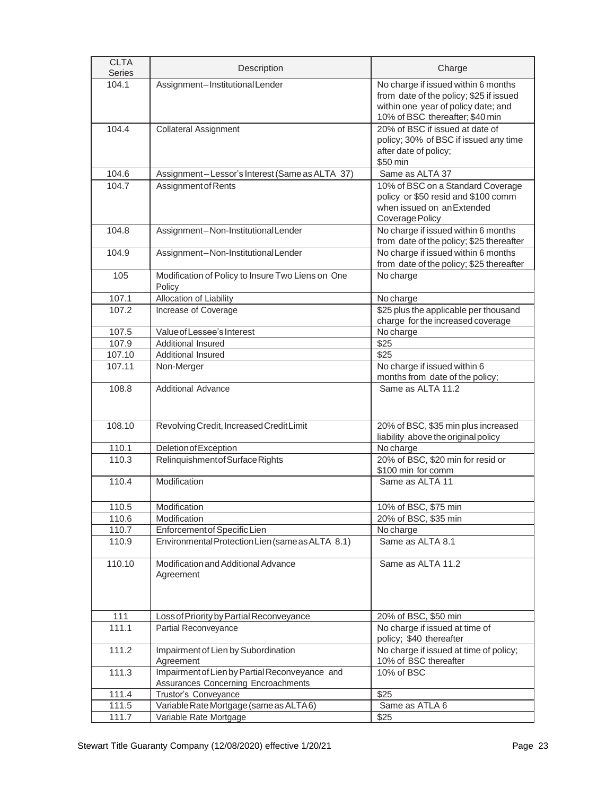| <b>CLTA</b><br><b>Series</b> | Description                                                                           | Charge                                                                                                                                                   |
|------------------------------|---------------------------------------------------------------------------------------|----------------------------------------------------------------------------------------------------------------------------------------------------------|
| 104.1                        | Assignment-InstitutionalLender                                                        | No charge if issued within 6 months<br>from date of the policy; \$25 if issued<br>within one year of policy date; and<br>10% of BSC thereafter; \$40 min |
| 104.4                        | <b>Collateral Assignment</b>                                                          | 20% of BSC if issued at date of<br>policy; 30% of BSC if issued any time<br>after date of policy;<br>\$50 min                                            |
| 104.6                        | Assignment-Lessor's Interest (Same as ALTA 37)                                        | Same as ALTA 37                                                                                                                                          |
| 104.7                        | Assignment of Rents                                                                   | 10% of BSC on a Standard Coverage<br>policy or \$50 resid and \$100 comm<br>when issued on an Extended<br>Coverage Policy                                |
| 104.8                        | Assignment-Non-Institutional Lender                                                   | No charge if issued within 6 months<br>from date of the policy; \$25 thereafter                                                                          |
| 104.9                        | Assignment-Non-InstitutionalLender                                                    | No charge if issued within 6 months<br>from date of the policy; \$25 thereafter                                                                          |
| 105                          | Modification of Policy to Insure Two Liens on One<br>Policy                           | No charge                                                                                                                                                |
| 107.1                        | Allocation of Liability                                                               | No charge                                                                                                                                                |
| 107.2                        | Increase of Coverage                                                                  | \$25 plus the applicable per thousand<br>charge for the increased coverage                                                                               |
| 107.5                        | Value of Lessee's Interest                                                            | No charge                                                                                                                                                |
| 107.9                        | Additional Insured                                                                    | $\sqrt{$25}$                                                                                                                                             |
| 107.10                       | Additional Insured                                                                    | \$25                                                                                                                                                     |
| 107.11                       | Non-Merger                                                                            | No charge if issued within 6<br>months from date of the policy;                                                                                          |
| 108.8                        | <b>Additional Advance</b>                                                             | Same as ALTA 11.2                                                                                                                                        |
| 108.10                       | Revolving Credit, Increased Credit Limit                                              | 20% of BSC, \$35 min plus increased<br>liability above the original policy                                                                               |
| 110.1                        | Deletion of Exception                                                                 | No charge                                                                                                                                                |
| 110.3                        | Relinquishment of Surface Rights                                                      | 20% of BSC, \$20 min for resid or<br>\$100 min for comm                                                                                                  |
| 110.4                        | Modification                                                                          | Same as ALTA 11                                                                                                                                          |
| 110.5                        | Modification                                                                          | 10% of BSC, \$75 min                                                                                                                                     |
| 110.6                        | Modification                                                                          | 20% of BSC, \$35 min                                                                                                                                     |
| 110.7                        | Enforcement of Specific Lien                                                          | No charge                                                                                                                                                |
| 110.9                        | Environmental Protection Lien (same as ALTA 8.1)                                      | Same as ALTA 8.1                                                                                                                                         |
| 110.10                       | Modification and Additional Advance<br>Agreement                                      | Same as ALTA 11.2                                                                                                                                        |
| 111                          | Loss of Priority by Partial Reconveyance                                              | 20% of BSC, \$50 min                                                                                                                                     |
| 111.1                        | Partial Reconveyance                                                                  | No charge if issued at time of<br>policy; \$40 thereafter                                                                                                |
| 111.2                        | Impairment of Lien by Subordination<br>Agreement                                      | No charge if issued at time of policy;<br>10% of BSC thereafter                                                                                          |
| 111.3                        | Impairment of Lien by Partial Reconveyance and<br>Assurances Concerning Encroachments | 10% of BSC                                                                                                                                               |
| 111.4                        | Trustor's Conveyance                                                                  | \$25                                                                                                                                                     |
| 111.5                        | Variable Rate Mortgage (same as ALTA6)                                                | Same as ATLA 6                                                                                                                                           |
| 111.7                        | Variable Rate Mortgage                                                                | \$25                                                                                                                                                     |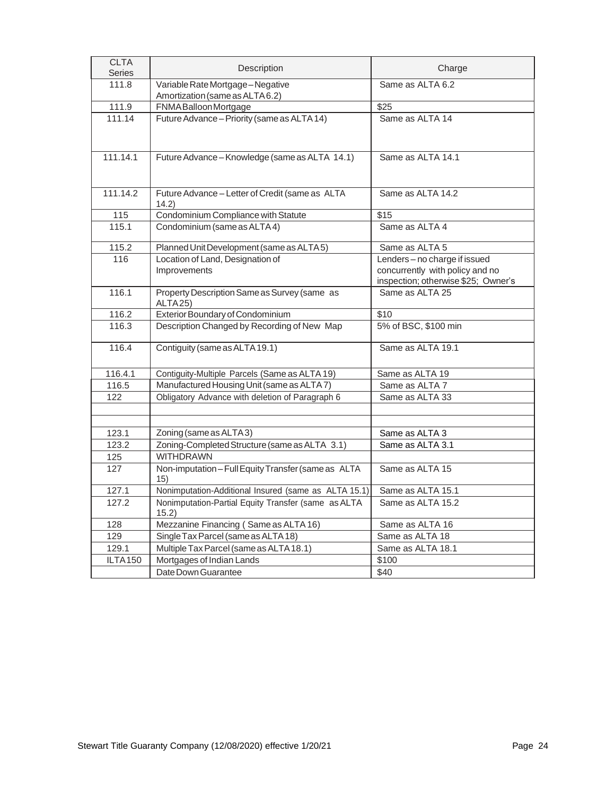| <b>CLTA</b><br><b>Series</b> | Description                                                          | Charge                                                                                                  |  |  |  |  |  |
|------------------------------|----------------------------------------------------------------------|---------------------------------------------------------------------------------------------------------|--|--|--|--|--|
| 111.8                        | Variable Rate Mortgage-Negative<br>Amortization (same as ALTA 6.2)   | Same as ALTA 6.2                                                                                        |  |  |  |  |  |
| 111.9                        | FNMA Balloon Mortgage                                                | $\overline{$25}$                                                                                        |  |  |  |  |  |
| 111.14                       | Future Advance - Priority (same as ALTA 14)                          | Same as ALTA 14                                                                                         |  |  |  |  |  |
| 111.14.1                     | Future Advance - Knowledge (same as ALTA 14.1)                       | Same as ALTA 14.1                                                                                       |  |  |  |  |  |
| 111.14.2                     | Future Advance - Letter of Credit (same as ALTA<br>14.2)             | Same as ALTA 14.2                                                                                       |  |  |  |  |  |
| 115                          | Condominium Compliance with Statute                                  | $\overline{$15}$                                                                                        |  |  |  |  |  |
| 115.1                        | Condominium (same as ALTA4)                                          | Same as ALTA 4                                                                                          |  |  |  |  |  |
| 115.2                        | Planned Unit Development (same as ALTA 5)                            | Same as ALTA 5                                                                                          |  |  |  |  |  |
| 116                          | Location of Land, Designation of<br>Improvements                     | Lenders - no charge if issued<br>concurrently with policy and no<br>inspection; otherwise \$25; Owner's |  |  |  |  |  |
| 116.1                        | Property Description Same as Survey (same as<br>ALTA <sub>25</sub> ) | Same as ALTA 25                                                                                         |  |  |  |  |  |
| 116.2                        | Exterior Boundary of Condominium                                     | \$10                                                                                                    |  |  |  |  |  |
| 116.3                        | Description Changed by Recording of New Map                          | 5% of BSC, \$100 min                                                                                    |  |  |  |  |  |
| 116.4                        | Contiguity (same as ALTA 19.1)                                       | Same as ALTA 19.1                                                                                       |  |  |  |  |  |
| 116.4.1                      | Contiguity-Multiple Parcels (Same as ALTA 19)                        | Same as ALTA 19                                                                                         |  |  |  |  |  |
| 116.5                        | Manufactured Housing Unit (same as ALTA7)                            | Same as ALTA 7                                                                                          |  |  |  |  |  |
| 122                          | Obligatory Advance with deletion of Paragraph 6                      | Same as ALTA 33                                                                                         |  |  |  |  |  |
|                              |                                                                      |                                                                                                         |  |  |  |  |  |
| 123.1                        | Zoning (same as ALTA3)                                               | Same as ALTA 3                                                                                          |  |  |  |  |  |
| 123.2                        | Zoning-Completed Structure (same as ALTA 3.1)                        | Same as ALTA 3.1                                                                                        |  |  |  |  |  |
| 125                          | <b>WITHDRAWN</b>                                                     |                                                                                                         |  |  |  |  |  |
| 127                          | Non-imputation-Full Equity Transfer (same as ALTA<br>15)             | Same as ALTA 15                                                                                         |  |  |  |  |  |
| 127.1                        | Nonimputation-Additional Insured (same as ALTA 15.1)                 | Same as ALTA 15.1                                                                                       |  |  |  |  |  |
| 127.2                        | Nonimputation-Partial Equity Transfer (same as ALTA<br>15.2)         | Same as ALTA 15.2                                                                                       |  |  |  |  |  |
| 128                          | Mezzanine Financing (Same as ALTA 16)                                | Same as ALTA 16                                                                                         |  |  |  |  |  |
| 129                          | Single Tax Parcel (same as ALTA 18)                                  | Same as ALTA 18                                                                                         |  |  |  |  |  |
| 129.1                        | Multiple Tax Parcel (same as ALTA 18.1)                              | Same as ALTA 18.1                                                                                       |  |  |  |  |  |
| ILTA150                      | Mortgages of Indian Lands                                            | \$100                                                                                                   |  |  |  |  |  |
|                              | Date Down Guarantee                                                  | \$40                                                                                                    |  |  |  |  |  |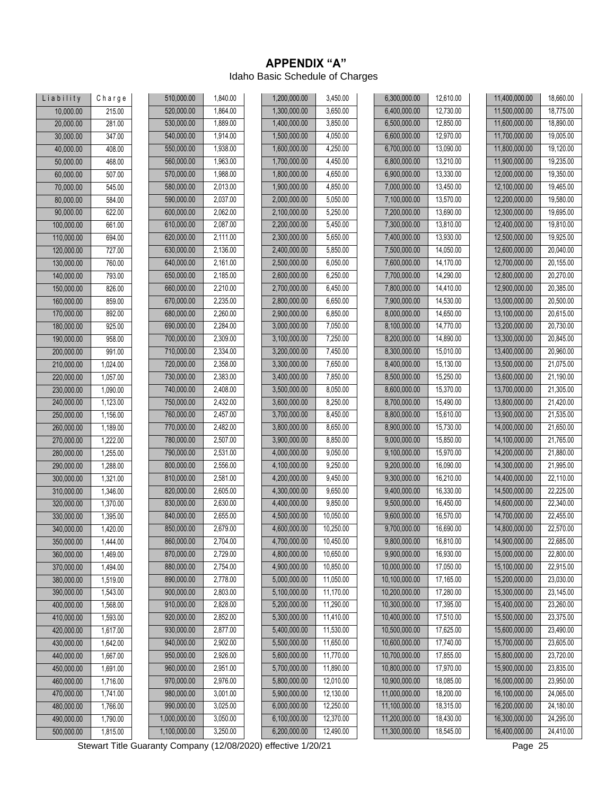#### **APPENDIX "A"** Idaho Basic Schedule of Charges

<span id="page-24-0"></span>

| Liability  | Charge   | 510,000.00   | 1,840.00 | 1,200,000.00 | 3,450.00  | 6,300,000.00  | 12,610.00 | 11,400,000.00 | 18,660.00 |
|------------|----------|--------------|----------|--------------|-----------|---------------|-----------|---------------|-----------|
| 10,000.00  | 215.00   | 520,000.00   | 1,864.00 | 1,300,000.00 | 3,650.00  | 6,400,000.00  | 12,730.00 | 11,500,000.00 | 18,775.00 |
| 20,000.00  | 281.00   | 530,000.00   | 1,889.00 | 1,400,000.00 | 3,850.00  | 6,500,000.00  | 12,850.00 | 11,600,000.00 | 18,890.00 |
| 30,000.00  | 347.00   | 540,000.00   | 1,914.00 | 1,500,000.00 | 4,050.00  | 6,600,000.00  | 12,970.00 | 11,700,000.00 | 19,005.00 |
| 40,000.00  | 408.00   | 550,000.00   | 1,938.00 | 1,600,000.00 | 4,250.00  | 6,700,000.00  | 13,090.00 | 11,800,000.00 | 19,120.00 |
| 50,000.00  | 468.00   | 560,000.00   | 1,963.00 | 1,700,000.00 | 4,450.00  | 6,800,000.00  | 13,210.00 | 11,900,000.00 | 19,235.00 |
| 60,000.00  | 507.00   | 570,000.00   | 1,988.00 | 1,800,000.00 | 4,650.00  | 6,900,000.00  | 13,330.00 | 12,000,000.00 | 19,350.00 |
| 70,000.00  | 545.00   | 580,000.00   | 2,013.00 | 1,900,000.00 | 4,850.00  | 7,000,000.00  | 13,450.00 | 12,100,000.00 | 19,465.00 |
| 80,000.00  | 584.00   | 590,000.00   | 2,037.00 | 2,000,000.00 | 5,050.00  | 7,100,000.00  | 13,570.00 | 12,200,000.00 | 19,580.00 |
| 90,000.00  | 622.00   | 600,000.00   | 2,062.00 | 2,100,000.00 | 5,250.00  | 7,200,000.00  | 13,690.00 | 12,300,000.00 | 19,695.00 |
| 100,000.00 | 661.00   | 610,000.00   | 2,087.00 | 2,200,000.00 | 5,450.00  | 7,300,000.00  | 13,810.00 | 12,400,000.00 | 19,810.00 |
| 110,000.00 | 694.00   | 620,000.00   | 2,111.00 | 2,300,000.00 | 5,650.00  | 7,400,000.00  | 13,930.00 | 12,500,000.00 | 19,925.00 |
| 120,000.00 | 727.00   | 630,000.00   | 2,136.00 | 2,400,000.00 | 5,850.00  | 7,500,000.00  | 14,050.00 | 12,600,000.00 | 20,040.00 |
| 130,000.00 | 760.00   | 640,000.00   | 2,161.00 | 2,500,000.00 | 6,050.00  | 7,600,000.00  | 14,170.00 | 12,700,000.00 | 20,155.00 |
| 140,000.00 | 793.00   | 650,000.00   | 2,185.00 | 2,600,000.00 | 6,250.00  | 7,700,000.00  | 14,290.00 | 12,800,000.00 | 20,270.00 |
| 150,000.00 | 826.00   | 660,000.00   | 2,210.00 | 2,700,000.00 | 6,450.00  | 7,800,000.00  | 14,410.00 | 12,900,000.00 | 20,385.00 |
| 160,000.00 | 859.00   | 670,000.00   | 2,235.00 | 2,800,000.00 | 6,650.00  | 7,900,000.00  | 14,530.00 | 13,000,000.00 | 20,500.00 |
| 170,000.00 | 892.00   | 680,000.00   | 2,260.00 | 2,900,000.00 | 6,850.00  | 8,000,000.00  | 14,650.00 | 13,100,000.00 | 20,615.00 |
| 180,000.00 | 925.00   | 690,000.00   | 2,284.00 | 3,000,000.00 | 7,050.00  | 8,100,000.00  | 14,770.00 | 13,200,000.00 | 20,730.00 |
| 190,000.00 | 958.00   | 700,000.00   | 2,309.00 | 3,100,000.00 | 7,250.00  | 8,200,000.00  | 14,890.00 | 13,300,000.00 | 20,845.00 |
| 200,000.00 | 991.00   | 710,000.00   | 2,334.00 | 3,200,000.00 | 7,450.00  | 8,300,000.00  | 15,010.00 | 13,400,000.00 | 20,960.00 |
| 210,000.00 | 1,024.00 | 720,000.00   | 2,358.00 | 3,300,000.00 | 7,650.00  | 8,400,000.00  | 15,130.00 | 13,500,000.00 | 21,075.00 |
| 220,000.00 | 1,057.00 | 730,000.00   | 2,383.00 | 3,400,000.00 | 7,850.00  | 8,500,000.00  | 15,250.00 | 13,600,000.00 | 21,190.00 |
| 230,000.00 | 1,090.00 | 740,000.00   | 2,408.00 | 3,500,000.00 | 8,050.00  | 8,600,000.00  | 15,370.00 | 13,700,000.00 | 21,305.00 |
| 240,000.00 | 1,123.00 | 750,000.00   | 2,432.00 | 3,600,000.00 | 8,250.00  | 8,700,000.00  | 15,490.00 | 13,800,000.00 | 21,420.00 |
| 250,000.00 | 1,156.00 | 760,000.00   | 2,457.00 | 3,700,000.00 | 8,450.00  | 8,800,000.00  | 15,610.00 | 13,900,000.00 | 21,535.00 |
| 260,000.00 | 1,189.00 | 770,000.00   | 2,482.00 | 3,800,000.00 | 8,650.00  | 8,900,000.00  | 15,730.00 | 14,000,000.00 | 21,650.00 |
| 270,000.00 | 1,222.00 | 780,000.00   | 2,507.00 | 3,900,000.00 | 8,850.00  | 9,000,000.00  | 15,850.00 | 14,100,000.00 | 21,765.00 |
| 280,000.00 | 1,255.00 | 790,000.00   | 2,531.00 | 4,000,000.00 | 9,050.00  | 9,100,000.00  | 15,970.00 | 14,200,000.00 | 21,880.00 |
| 290,000.00 | 1,288.00 | 800,000.00   | 2,556.00 | 4,100,000.00 | 9,250.00  | 9,200,000.00  | 16,090.00 | 14,300,000.00 | 21,995.00 |
| 300,000.00 | 1,321.00 | 810,000.00   | 2,581.00 | 4,200,000.00 | 9,450.00  | 9,300,000.00  | 16,210.00 | 14,400,000.00 | 22,110.00 |
| 310,000.00 | 1,346.00 | 820,000.00   | 2,605.00 | 4,300,000.00 | 9,650.00  | 9,400,000.00  | 16,330.00 | 14,500,000.00 | 22,225.00 |
| 320,000.00 | 1,370.00 | 830,000.00   | 2,630.00 | 4,400,000.00 | 9,850.00  | 9,500,000.00  | 16,450.00 | 14,600,000.00 | 22,340.00 |
| 330,000.00 | 1,395.00 | 840,000.00   | 2,655.00 | 4,500,000.00 | 10,050.00 | 9,600,000.00  | 16,570.00 | 14,700,000.00 | 22,455.00 |
| 340,000.00 | 1,420.00 | 850,000.00   | 2,679.00 | 4,600,000.00 | 10,250.00 | 9,700,000.00  | 16,690.00 | 14,800,000.00 | 22,570.00 |
| 350,000.00 | 1,444.00 | 860,000.00   | 2,704.00 | 4,700,000.00 | 10,450.00 | 9,800,000.00  | 16,810.00 | 14,900,000.00 | 22,685.00 |
| 360,000.00 | 1,469.00 | 870,000.00   | 2,729.00 | 4,800,000.00 | 10.650.00 | 9,900,000.00  | 16,930.00 | 15,000,000.00 | 22,800.00 |
| 370,000.00 | 1,494.00 | 880,000.00   | 2,754.00 | 4,900,000.00 | 10,850.00 | 10,000,000.00 | 17,050.00 | 15,100,000.00 | 22,915.00 |
| 380,000.00 | 1,519.00 | 890,000.00   | 2,778.00 | 5,000,000.00 | 11,050.00 | 10,100,000.00 | 17,165.00 | 15,200,000.00 | 23,030.00 |
| 390,000.00 | 1,543.00 | 900,000.00   | 2,803.00 | 5,100,000.00 | 11,170.00 | 10,200,000.00 | 17,280.00 | 15,300,000.00 | 23,145.00 |
| 400,000.00 | 1.568.00 | 910,000.00   | 2,828.00 | 5,200,000.00 | 11,290.00 | 10,300,000.00 | 17,395.00 | 15,400,000.00 | 23,260.00 |
| 410,000.00 | 1,593.00 | 920,000.00   | 2,852.00 | 5,300,000.00 | 11,410.00 | 10,400,000.00 | 17,510.00 | 15,500,000.00 | 23,375.00 |
| 420,000.00 | 1,617.00 | 930,000.00   | 2,877.00 | 5,400,000.00 | 11,530.00 | 10,500,000.00 | 17,625.00 | 15,600,000.00 | 23,490.00 |
| 430,000.00 | 1,642.00 | 940,000.00   | 2,902.00 | 5,500,000.00 | 11,650.00 | 10,600,000.00 | 17,740.00 | 15,700,000.00 | 23,605.00 |
| 440,000.00 | 1,667.00 | 950,000.00   | 2,926.00 | 5,600,000.00 | 11,770.00 | 10,700,000.00 | 17,855.00 | 15,800,000.00 | 23,720.00 |
| 450,000.00 | 1,691.00 | 960,000.00   | 2,951.00 | 5,700,000.00 | 11,890.00 | 10,800,000.00 | 17,970.00 | 15,900,000.00 | 23,835.00 |
| 460,000.00 | 1,716.00 | 970,000.00   | 2,976.00 | 5,800,000.00 | 12,010.00 | 10,900,000.00 | 18,085.00 | 16,000,000.00 | 23,950.00 |
| 470,000.00 | 1,741.00 | 980,000.00   | 3,001.00 | 5,900,000.00 | 12,130.00 | 11,000,000.00 | 18,200.00 | 16,100,000.00 | 24,065.00 |
| 480,000.00 | 1,766.00 | 990,000.00   | 3,025.00 | 6,000,000.00 | 12,250.00 | 11,100,000.00 | 18,315.00 | 16,200,000.00 | 24,180.00 |
| 490,000.00 | 1,790.00 | 1,000,000.00 | 3,050.00 | 6,100,000.00 | 12,370.00 | 11,200,000.00 | 18,430.00 | 16,300,000.00 | 24,295.00 |
| 500,000.00 | 1,815.00 | 1,100,000.00 | 3,250.00 | 6,200,000.00 | 12,490.00 | 11,300,000.00 | 18,545.00 | 16,400,000.00 | 24,410.00 |
|            |          |              |          |              |           |               |           |               |           |

Stewart Title Guaranty Company (12/08/2020) effective 1/20/21 Page 25